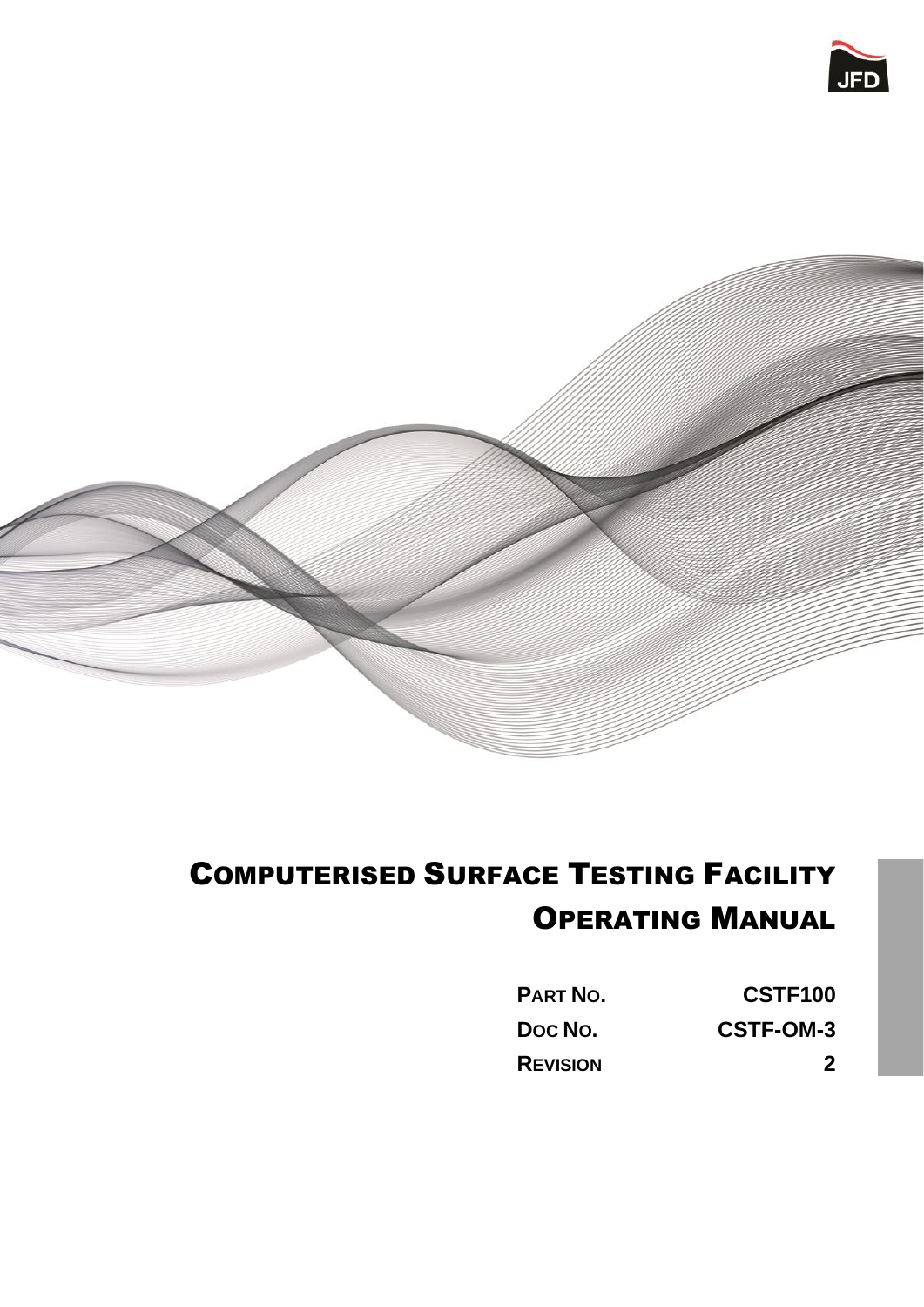



# COMPUTERISED SURFACE TESTING FACILITY OPERATING MANUAL

| PART NO.        | CSTF <sub>100</sub> |
|-----------------|---------------------|
| Doc No.         | <b>CSTF-OM-3</b>    |
| <b>REVISION</b> | 2                   |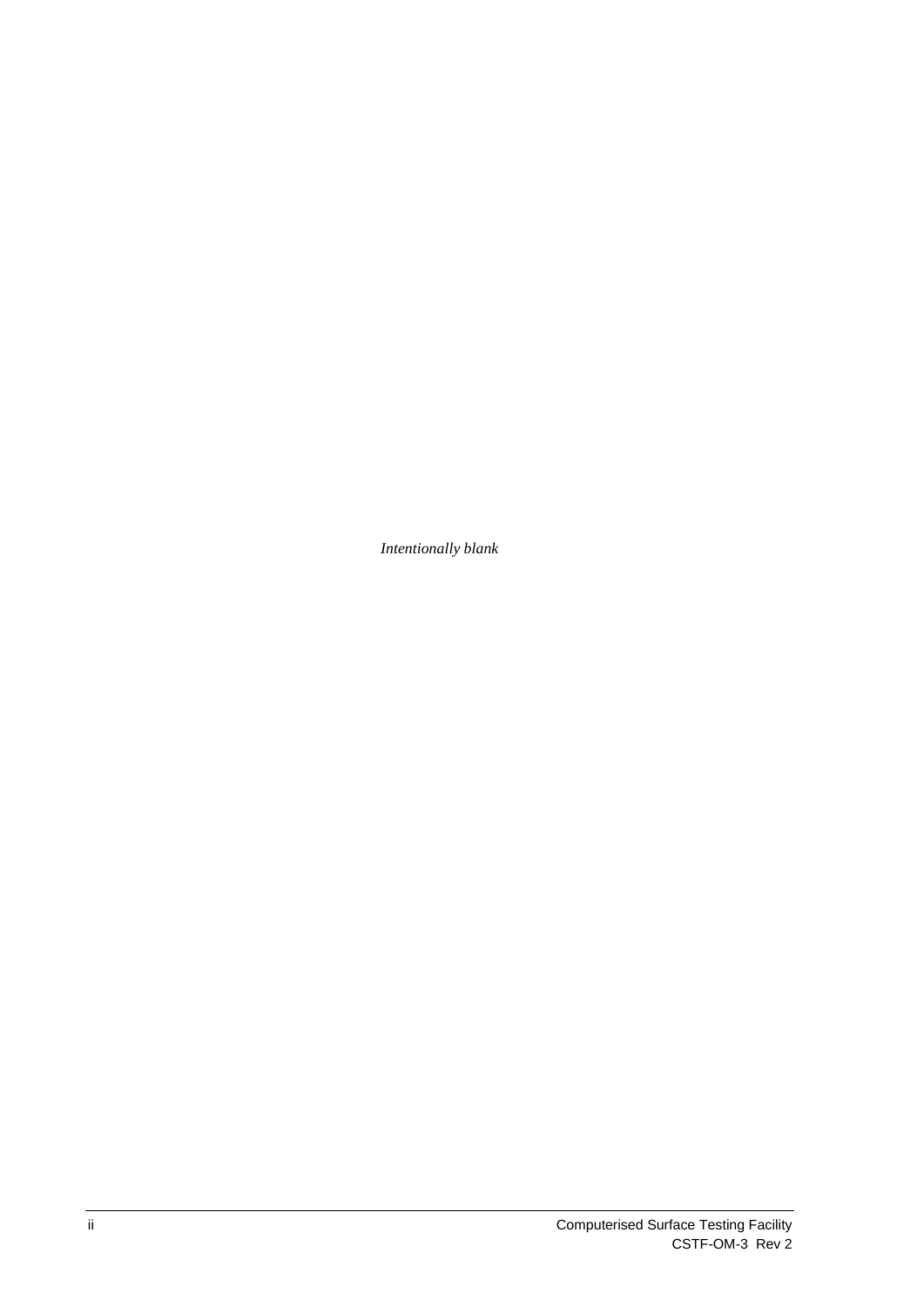*Intentionally blank*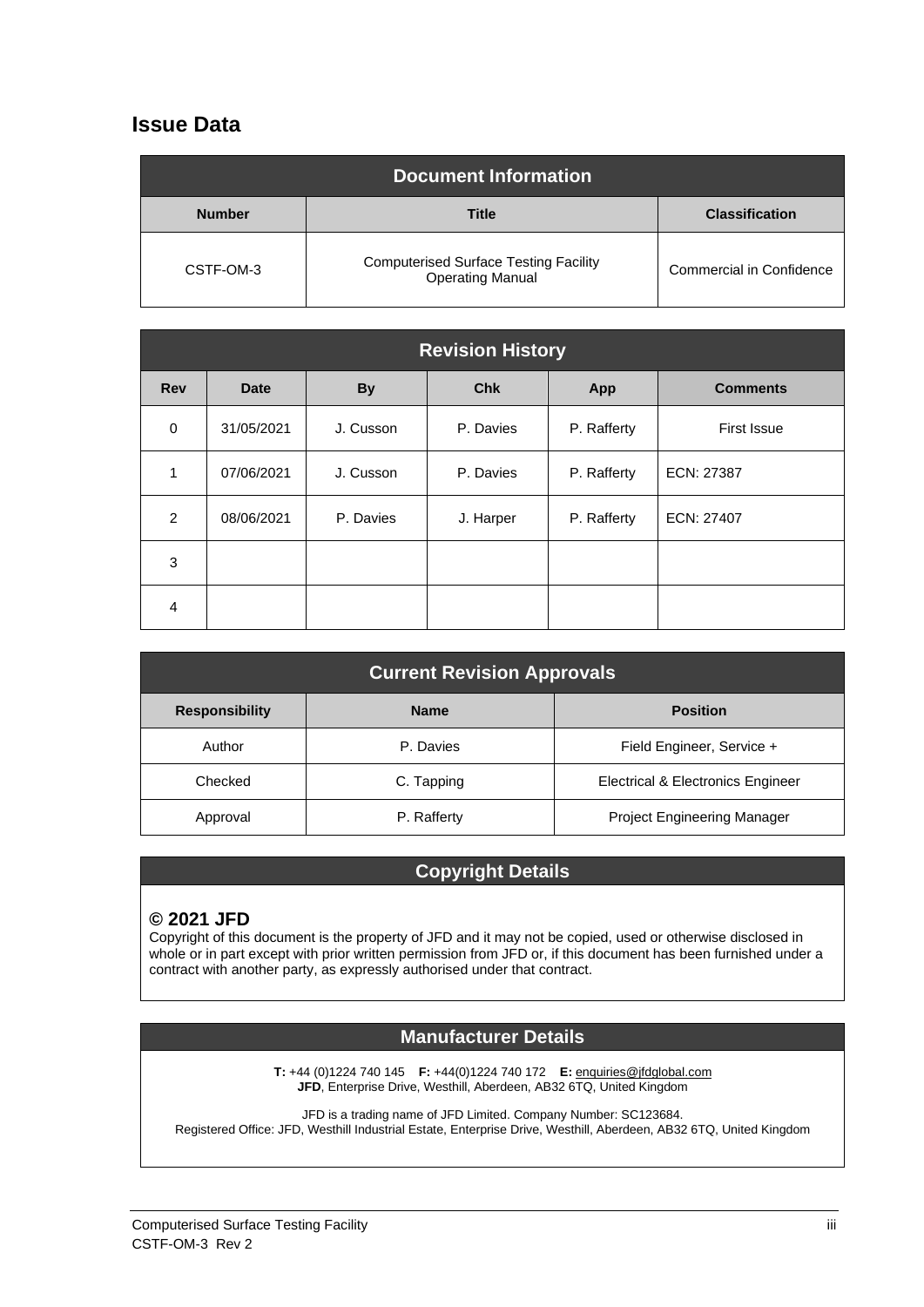### <span id="page-2-0"></span>**Issue Data**

| <b>Document Information</b> |                                                                         |                          |  |
|-----------------------------|-------------------------------------------------------------------------|--------------------------|--|
| <b>Number</b>               | Title                                                                   | <b>Classification</b>    |  |
| CSTF-OM-3                   | <b>Computerised Surface Testing Facility</b><br><b>Operating Manual</b> | Commercial in Confidence |  |

| <b>Revision History</b> |             |           |            |             |                 |
|-------------------------|-------------|-----------|------------|-------------|-----------------|
| <b>Rev</b>              | <b>Date</b> | <b>By</b> | <b>Chk</b> | App         | <b>Comments</b> |
| $\mathbf 0$             | 31/05/2021  | J. Cusson | P. Davies  | P. Rafferty | First Issue     |
| 1                       | 07/06/2021  | J. Cusson | P. Davies  | P. Rafferty | ECN: 27387      |
| 2                       | 08/06/2021  | P. Davies | J. Harper  | P. Rafferty | ECN: 27407      |
| 3                       |             |           |            |             |                 |
| 4                       |             |           |            |             |                 |

| <b>Current Revision Approvals</b> |             |                                              |  |
|-----------------------------------|-------------|----------------------------------------------|--|
| <b>Responsibility</b>             | <b>Name</b> | <b>Position</b>                              |  |
| Author                            | P. Davies   | Field Engineer, Service +                    |  |
| Checked                           | C. Tapping  | <b>Electrical &amp; Electronics Engineer</b> |  |
| Approval                          | P. Rafferty | <b>Project Engineering Manager</b>           |  |

#### **Copyright Details**

#### **© 2021 JFD**

Copyright of this document is the property of JFD and it may not be copied, used or otherwise disclosed in whole or in part except with prior written permission from JFD or, if this document has been furnished under a contract with another party, as expressly authorised under that contract.

#### **Manufacturer Details**

**T:** +44 (0)1224 740 145 **F:** +44(0)1224 740 172 **E:** [enquiries@jfdglobal.com](mailto:enquiries@jfdglobal.com) **JFD**, Enterprise Drive, Westhill, Aberdeen, AB32 6TQ, United Kingdom

JFD is a trading name of JFD Limited. Company Number: SC123684.

Registered Office: JFD, Westhill Industrial Estate, Enterprise Drive, Westhill, Aberdeen, AB32 6TQ, United Kingdom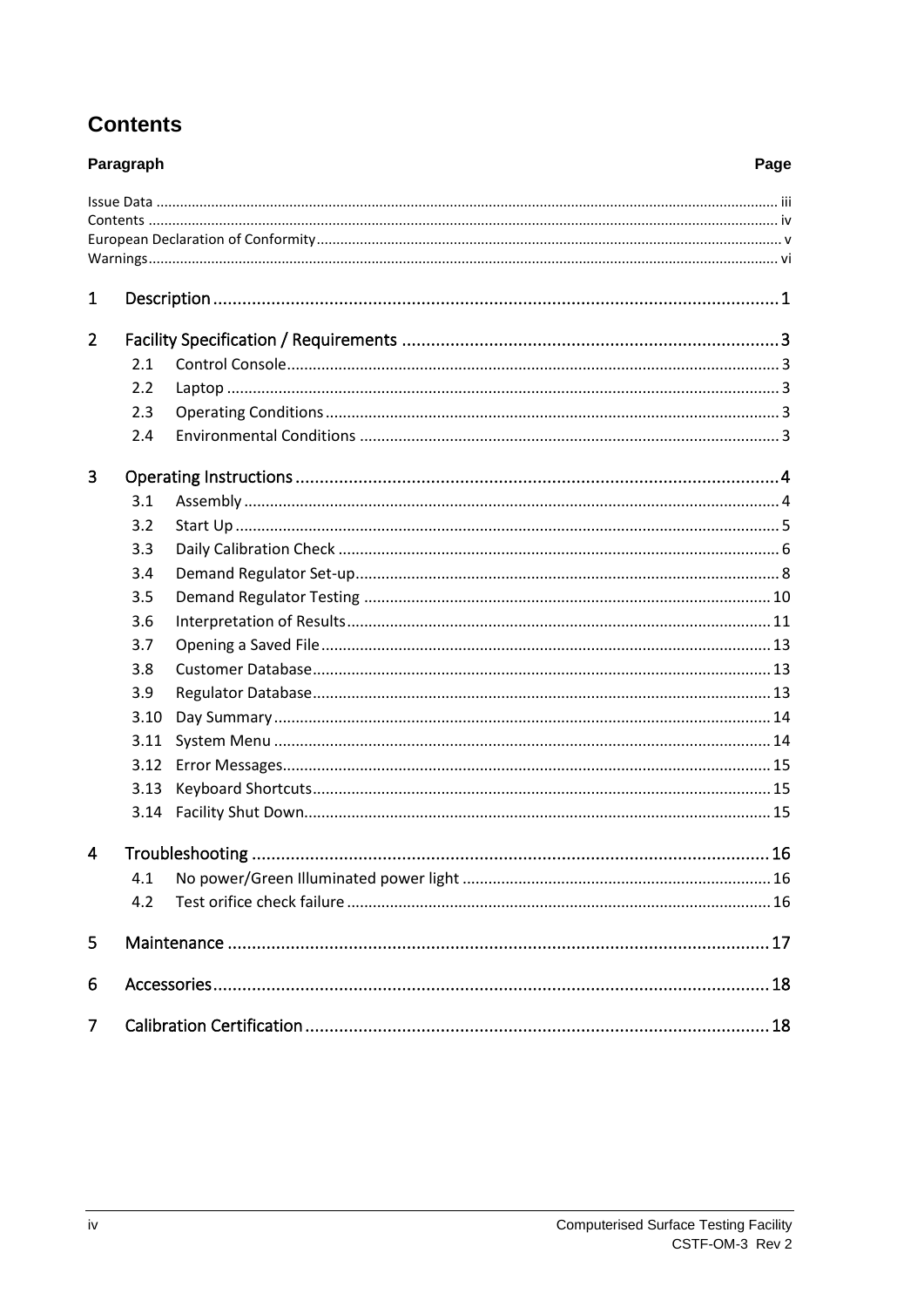# <span id="page-3-0"></span>**Contents**

|             | Paragraph | Page |
|-------------|-----------|------|
|             |           |      |
|             |           |      |
|             |           |      |
|             |           |      |
| 1           |           |      |
| 2           |           |      |
|             | 2.1       |      |
|             | 2.2       |      |
|             | 2.3       |      |
|             | 2.4       |      |
| 3           |           |      |
|             | 3.1       |      |
|             | 3.2       |      |
|             | 3.3       |      |
|             | 3.4       |      |
|             | 3.5       |      |
|             | 3.6       |      |
|             | 3.7       |      |
|             | 3.8       |      |
|             | 3.9       |      |
|             | 3.10      |      |
|             | 3.11      |      |
|             | 3.12      |      |
|             | 3.13      |      |
|             | 3.14      |      |
| $\mathbf 4$ |           |      |
|             | 4.1       |      |
|             | 4.2       |      |
| 5           |           |      |
| 6           |           |      |
| 7           |           |      |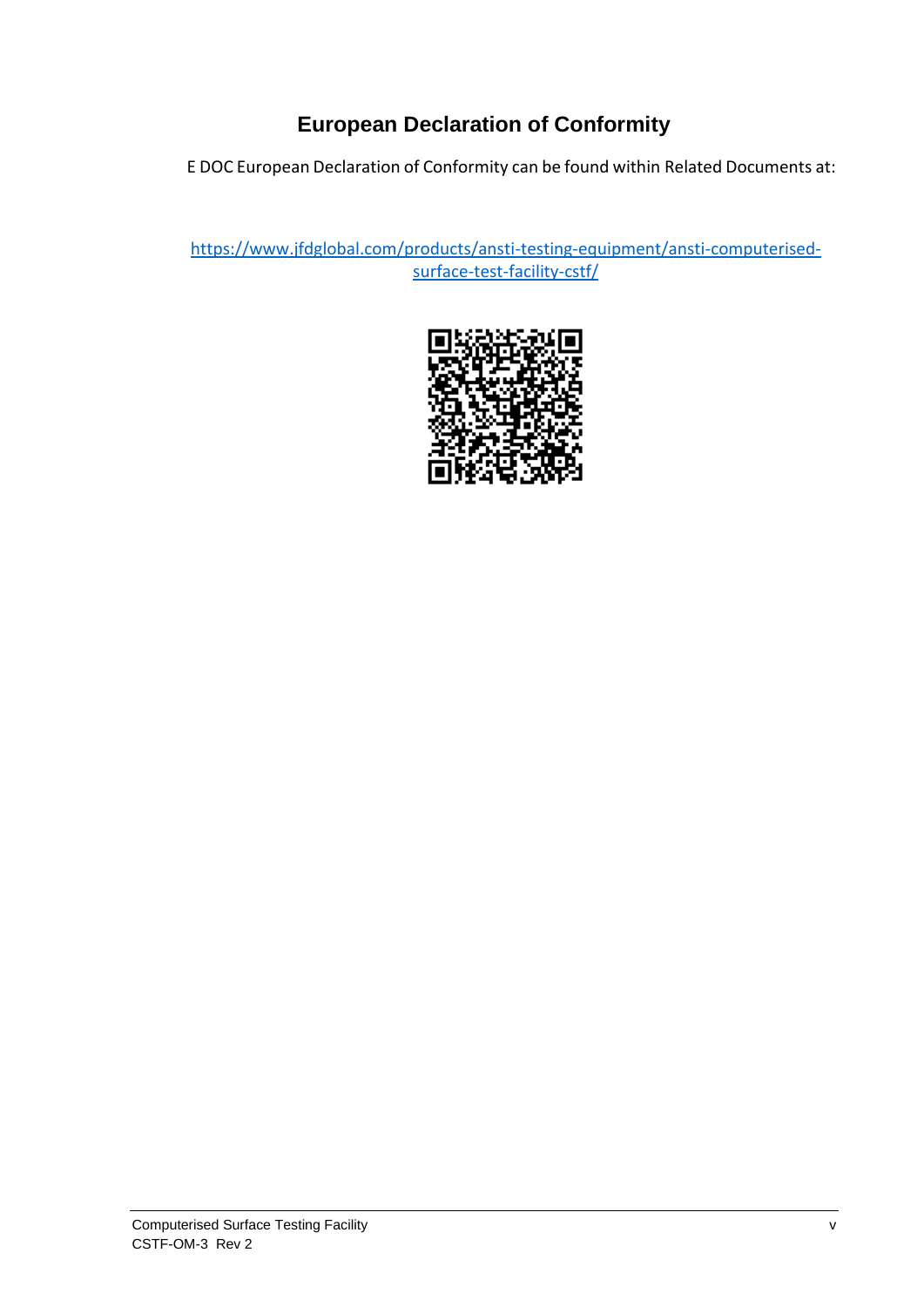# **European Declaration of Conformity**

<span id="page-4-0"></span>E DOC European Declaration of Conformity can be found within Related Documents at:

[https://www.jfdglobal.com/products/ansti-testing-equipment/ansti-computerised](https://www.jfdglobal.com/products/ansti-testing-equipment/ansti-computerised-surface-test-facility-cstf/)[surface-test-facility-cstf/](https://www.jfdglobal.com/products/ansti-testing-equipment/ansti-computerised-surface-test-facility-cstf/)

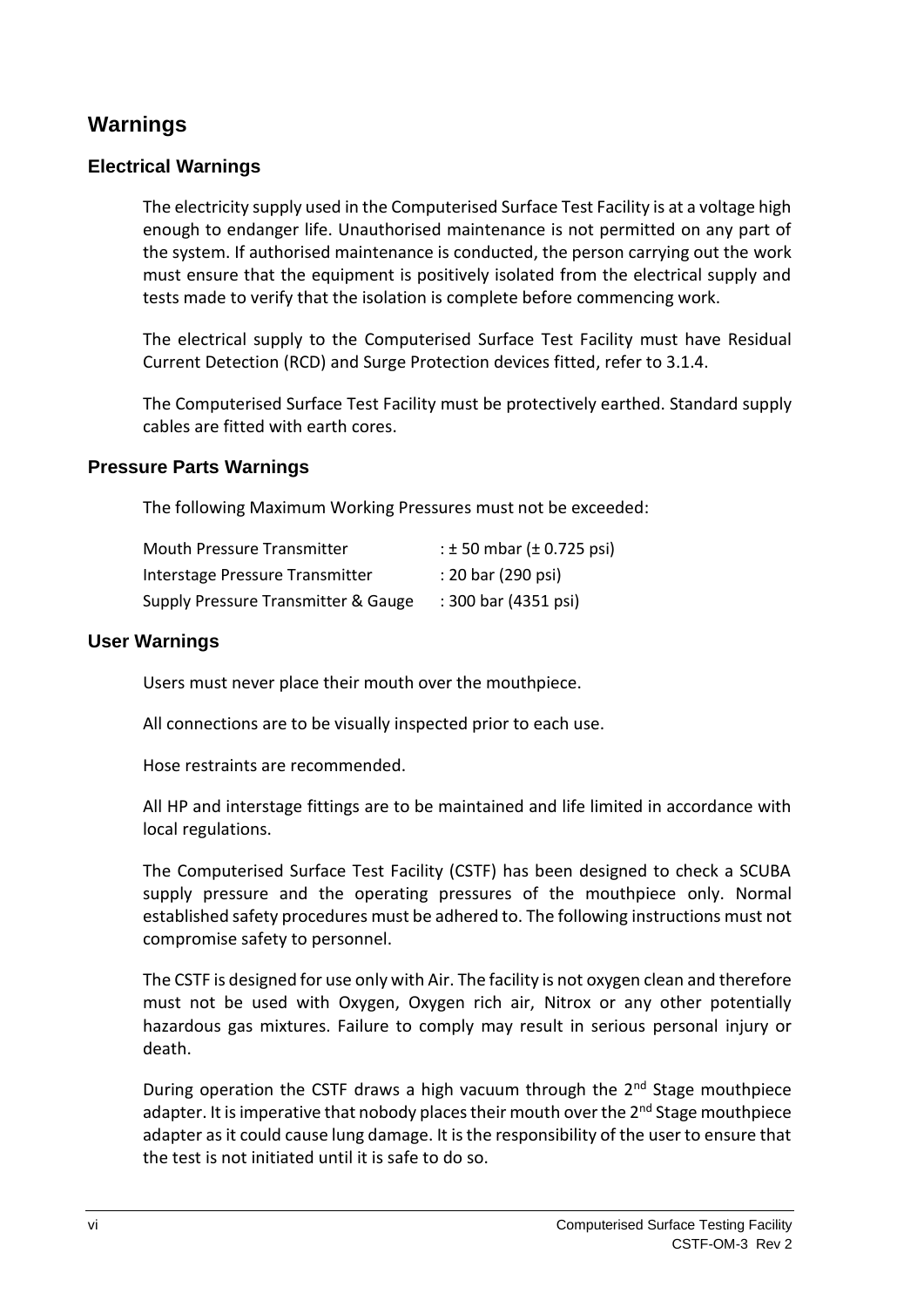### <span id="page-5-0"></span>**Warnings**

#### **Electrical Warnings**

The electricity supply used in the Computerised Surface Test Facility is at a voltage high enough to endanger life. Unauthorised maintenance is not permitted on any part of the system. If authorised maintenance is conducted, the person carrying out the work must ensure that the equipment is positively isolated from the electrical supply and tests made to verify that the isolation is complete before commencing work.

The electrical supply to the Computerised Surface Test Facility must have Residual Current Detection (RCD) and Surge Protection devices fitted, refer to [3.1.4.](#page-11-2)

The Computerised Surface Test Facility must be protectively earthed. Standard supply cables are fitted with earth cores.

#### **Pressure Parts Warnings**

The following Maximum Working Pressures must not be exceeded:

| <b>Mouth Pressure Transmitter</b>   | : $\pm$ 50 mbar ( $\pm$ 0.725 psi) |
|-------------------------------------|------------------------------------|
| Interstage Pressure Transmitter     | : 20 bar (290 psi)                 |
| Supply Pressure Transmitter & Gauge | : 300 bar (4351 psi)               |

#### **User Warnings**

Users must never place their mouth over the mouthpiece.

All connections are to be visually inspected prior to each use.

Hose restraints are recommended.

All HP and interstage fittings are to be maintained and life limited in accordance with local regulations.

The Computerised Surface Test Facility (CSTF) has been designed to check a SCUBA supply pressure and the operating pressures of the mouthpiece only. Normal established safety procedures must be adhered to. The following instructions must not compromise safety to personnel.

The CSTF is designed for use only with Air. The facility is not oxygen clean and therefore must not be used with Oxygen, Oxygen rich air, Nitrox or any other potentially hazardous gas mixtures. Failure to comply may result in serious personal injury or death.

During operation the CSTF draws a high vacuum through the 2<sup>nd</sup> Stage mouthpiece adapter. It is imperative that nobody places their mouth over the 2<sup>nd</sup> Stage mouthpiece adapter as it could cause lung damage. It is the responsibility of the user to ensure that the test is not initiated until it is safe to do so.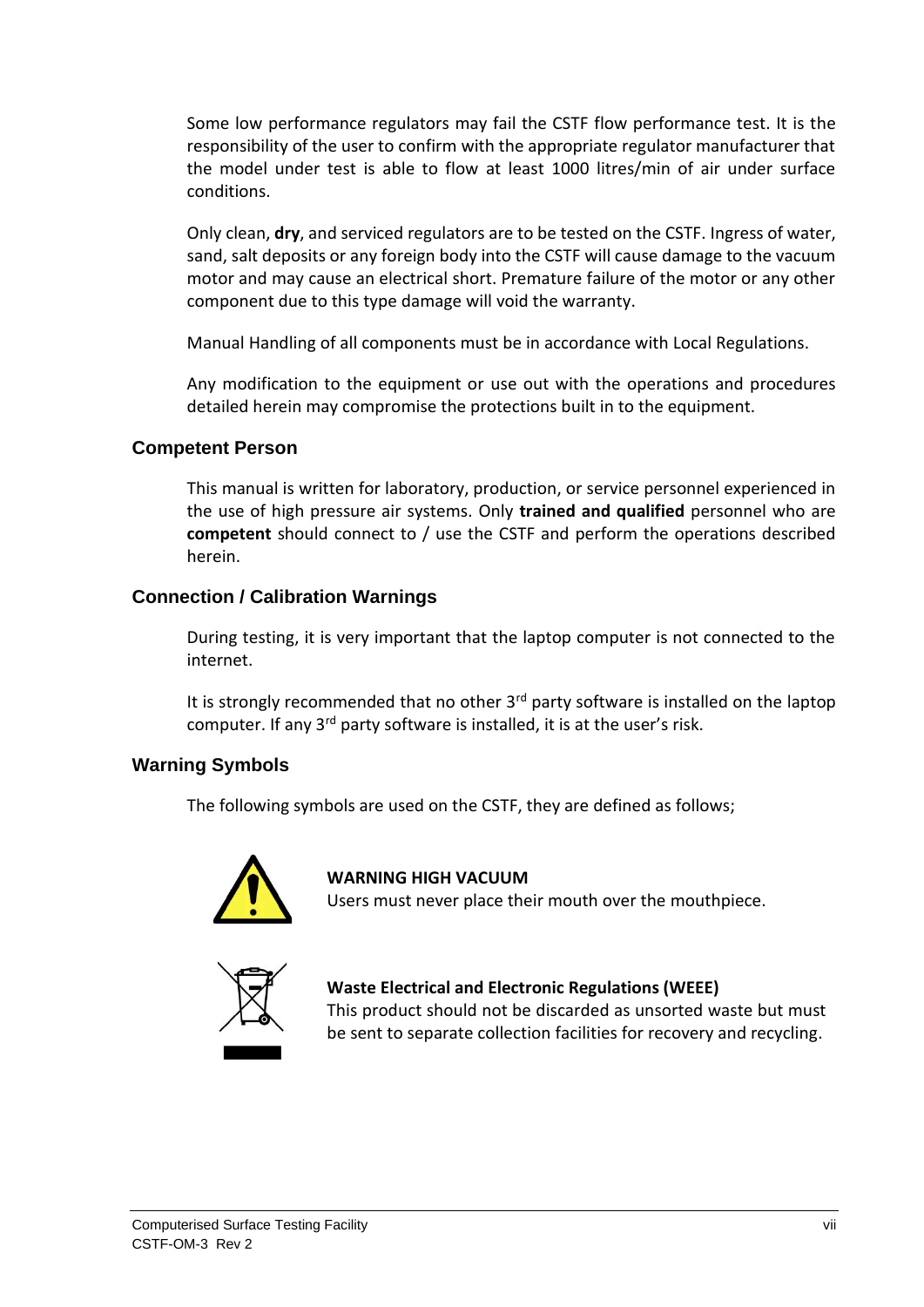Some low performance regulators may fail the CSTF flow performance test. It is the responsibility of the user to confirm with the appropriate regulator manufacturer that the model under test is able to flow at least 1000 litres/min of air under surface conditions.

Only clean, **dry**, and serviced regulators are to be tested on the CSTF. Ingress of water, sand, salt deposits or any foreign body into the CSTF will cause damage to the vacuum motor and may cause an electrical short. Premature failure of the motor or any other component due to this type damage will void the warranty.

Manual Handling of all components must be in accordance with Local Regulations.

Any modification to the equipment or use out with the operations and procedures detailed herein may compromise the protections built in to the equipment.

#### **Competent Person**

This manual is written for laboratory, production, or service personnel experienced in the use of high pressure air systems. Only **trained and qualified** personnel who are **competent** should connect to / use the CSTF and perform the operations described herein.

#### **Connection / Calibration Warnings**

During testing, it is very important that the laptop computer is not connected to the internet.

It is strongly recommended that no other  $3<sup>rd</sup>$  party software is installed on the laptop computer. If any 3<sup>rd</sup> party software is installed, it is at the user's risk.

#### **Warning Symbols**

The following symbols are used on the CSTF, they are defined as follows;



#### **WARNING HIGH VACUUM**

Users must never place their mouth over the mouthpiece.



#### **Waste Electrical and Electronic Regulations (WEEE)**

This product should not be discarded as unsorted waste but must be sent to separate collection facilities for recovery and recycling.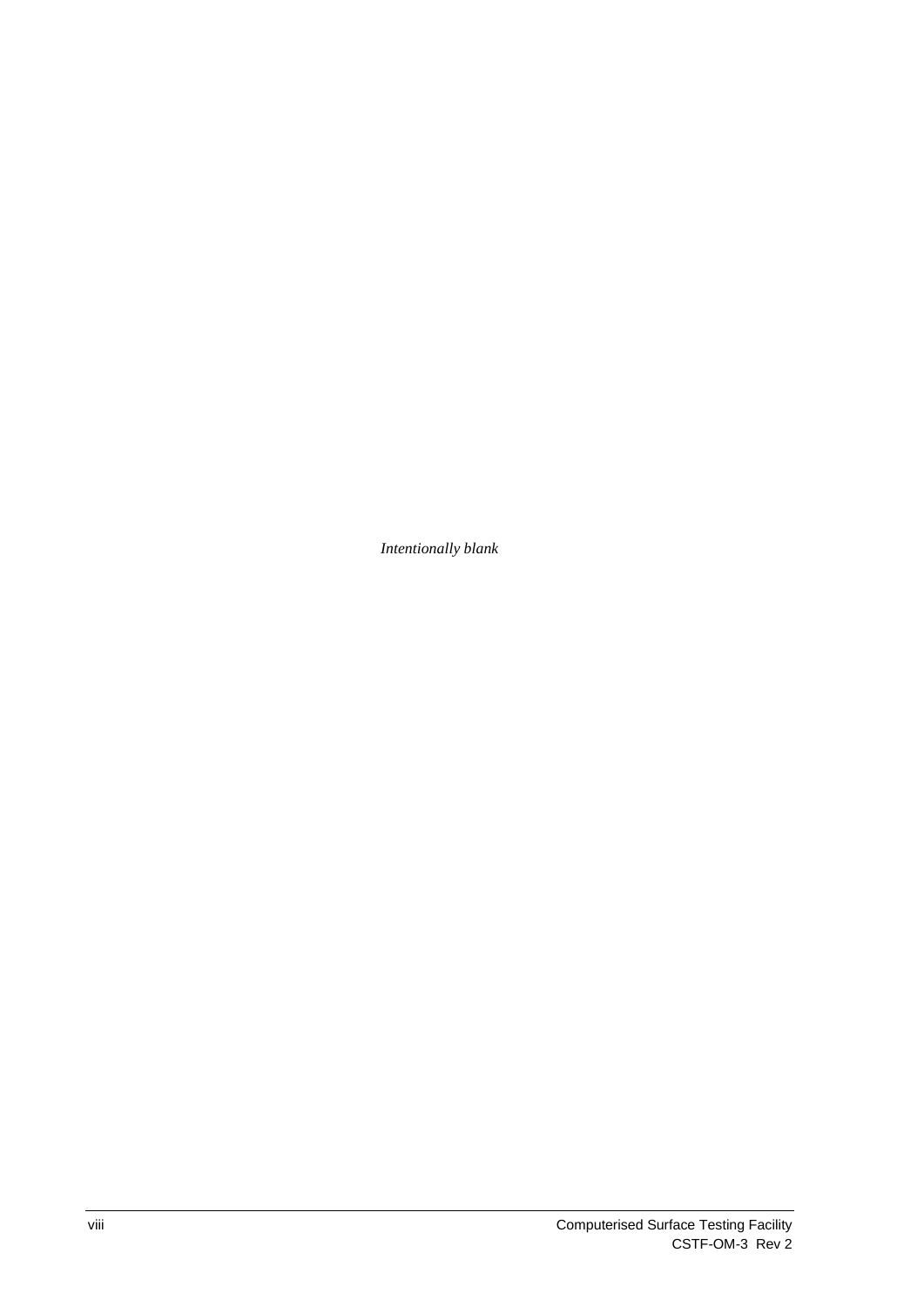*Intentionally blank*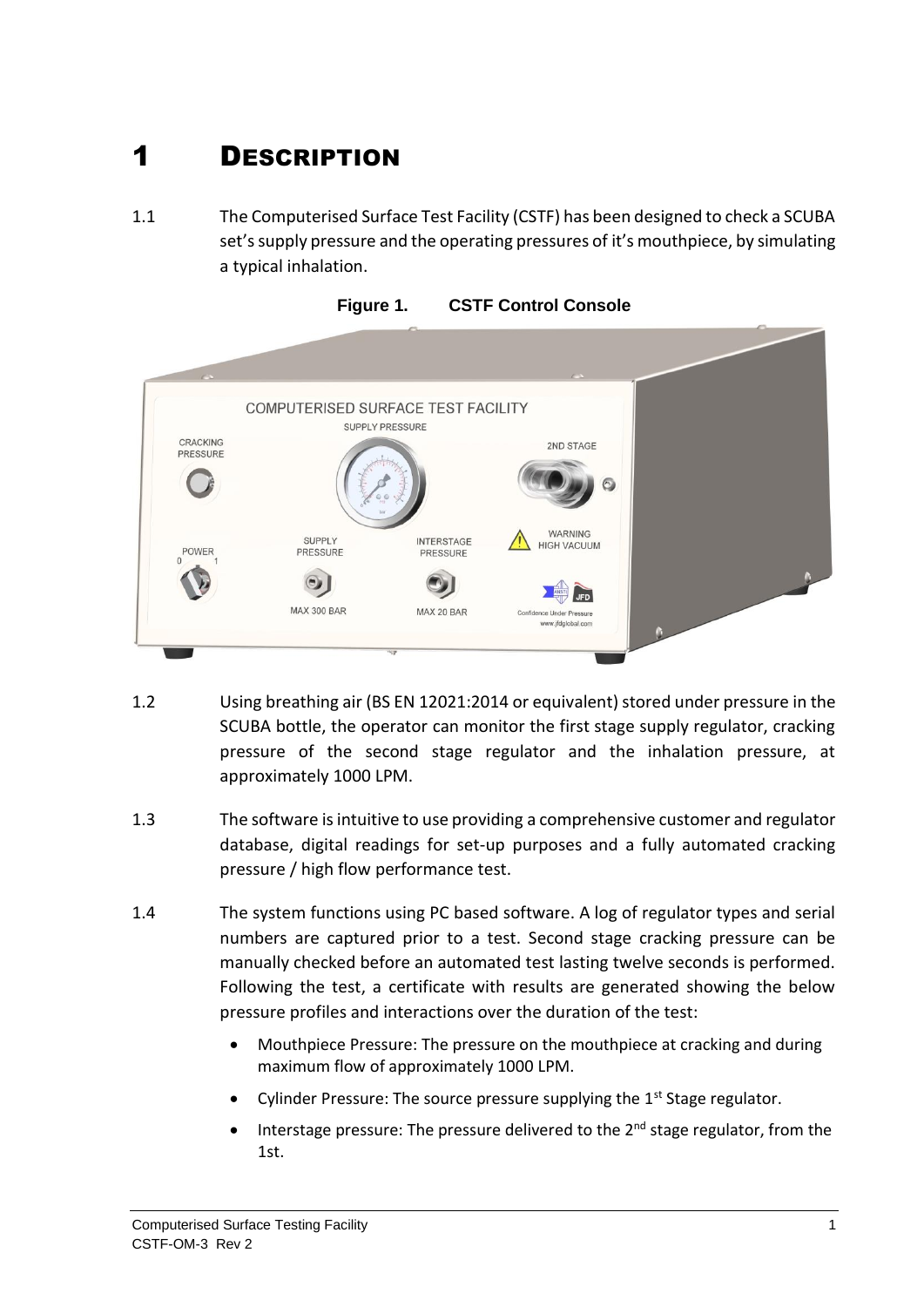# <span id="page-8-0"></span>1 DESCRIPTION

1.1 The Computerised Surface Test Facility (CSTF) has been designed to check a SCUBA set's supply pressure and the operating pressures of it's mouthpiece, by simulating a typical inhalation.





- 1.2 Using breathing air (BS EN 12021:2014 or equivalent) stored under pressure in the SCUBA bottle, the operator can monitor the first stage supply regulator, cracking pressure of the second stage regulator and the inhalation pressure, at approximately 1000 LPM.
- 1.3 The software is intuitive to use providing a comprehensive customer and regulator database, digital readings for set-up purposes and a fully automated cracking pressure / high flow performance test.
- 1.4 The system functions using PC based software. A log of regulator types and serial numbers are captured prior to a test. Second stage cracking pressure can be manually checked before an automated test lasting twelve seconds is performed. Following the test, a certificate with results are generated showing the below pressure profiles and interactions over the duration of the test:
	- Mouthpiece Pressure: The pressure on the mouthpiece at cracking and during maximum flow of approximately 1000 LPM.
	- Cylinder Pressure: The source pressure supplying the  $1<sup>st</sup>$  Stage regulator.
	- Interstage pressure: The pressure delivered to the  $2^{nd}$  stage regulator, from the 1st.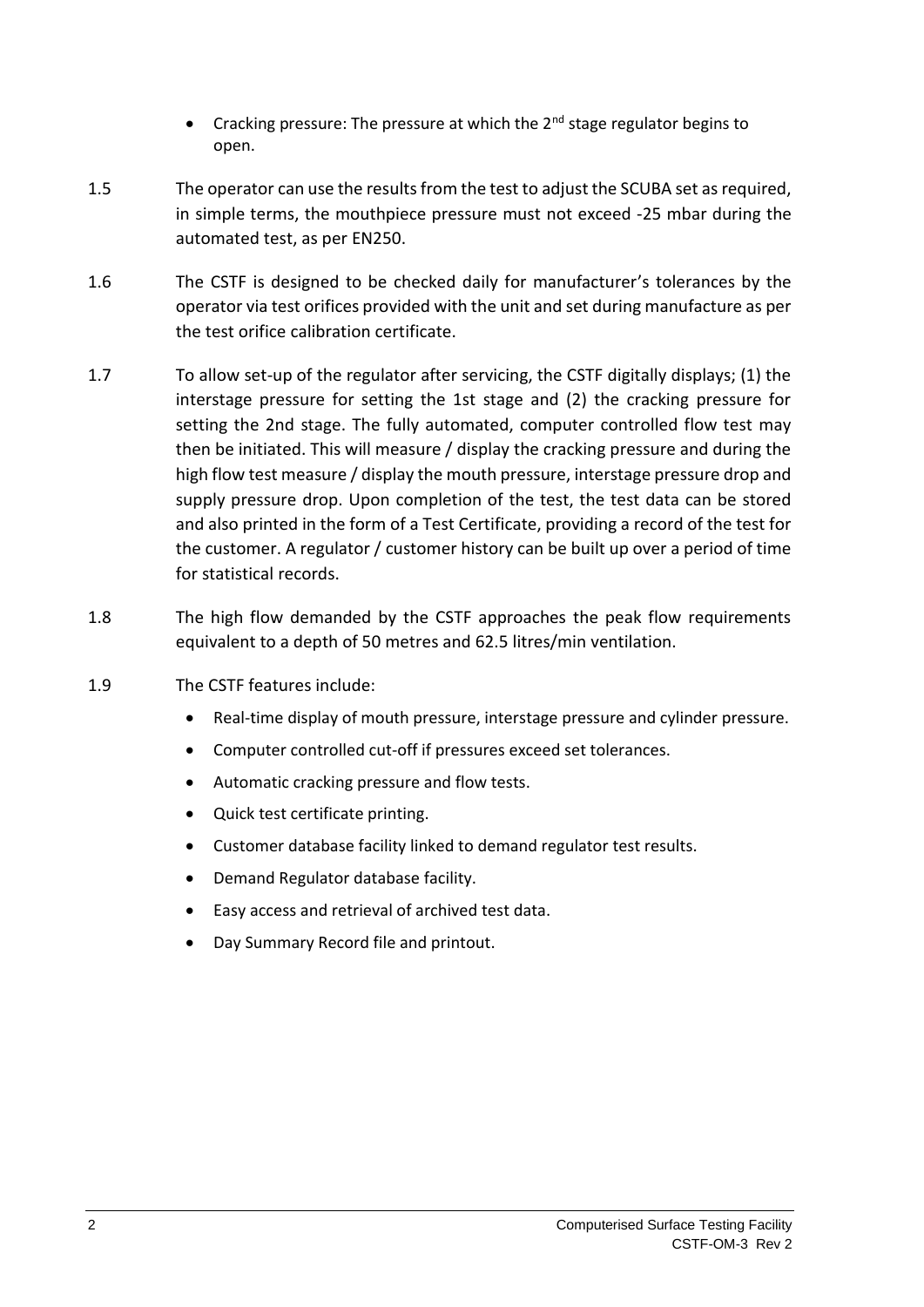- Cracking pressure: The pressure at which the  $2^{nd}$  stage regulator begins to open.
- 1.5 The operator can use the results from the test to adjust the SCUBA set as required, in simple terms, the mouthpiece pressure must not exceed -25 mbar during the automated test, as per EN250.
- 1.6 The CSTF is designed to be checked daily for manufacturer's tolerances by the operator via test orifices provided with the unit and set during manufacture as per the test orifice calibration certificate.
- 1.7 To allow set-up of the regulator after servicing, the CSTF digitally displays; (1) the interstage pressure for setting the 1st stage and (2) the cracking pressure for setting the 2nd stage. The fully automated, computer controlled flow test may then be initiated. This will measure / display the cracking pressure and during the high flow test measure / display the mouth pressure, interstage pressure drop and supply pressure drop. Upon completion of the test, the test data can be stored and also printed in the form of a Test Certificate, providing a record of the test for the customer. A regulator / customer history can be built up over a period of time for statistical records.
- 1.8 The high flow demanded by the CSTF approaches the peak flow requirements equivalent to a depth of 50 metres and 62.5 litres/min ventilation.
- 1.9 The CSTF features include:
	- Real-time display of mouth pressure, interstage pressure and cylinder pressure.
	- Computer controlled cut-off if pressures exceed set tolerances.
	- Automatic cracking pressure and flow tests.
	- Quick test certificate printing.
	- Customer database facility linked to demand regulator test results.
	- Demand Regulator database facility.
	- Easy access and retrieval of archived test data.
	- Day Summary Record file and printout.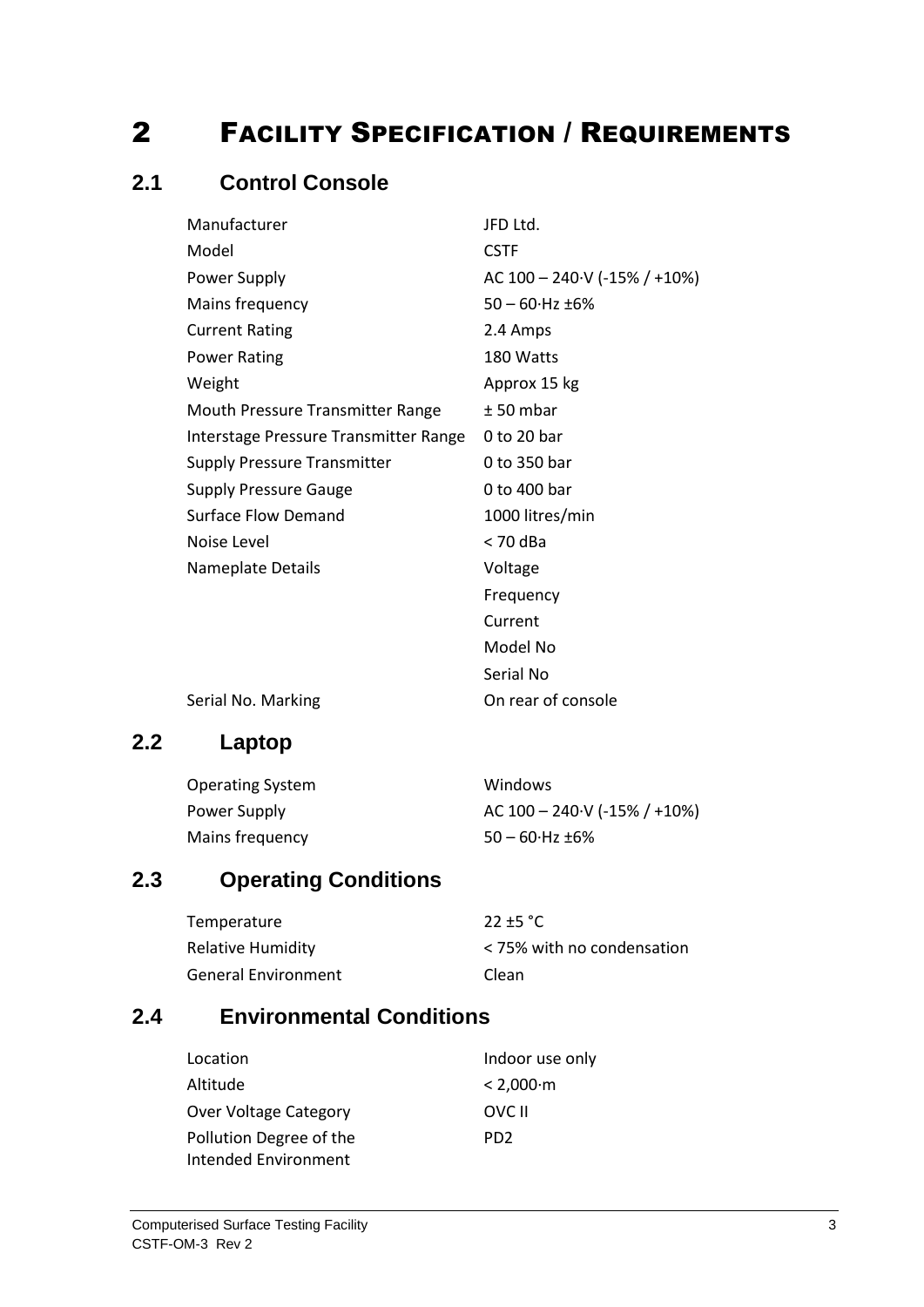# <span id="page-10-0"></span>2 FACILITY SPECIFICATION / REQUIREMENTS

## <span id="page-10-1"></span>**2.1 Control Console**

| Manufacturer                          | JFD Ltd.                             |
|---------------------------------------|--------------------------------------|
| Model                                 | <b>CSTF</b>                          |
| Power Supply                          | AC $100 - 240 \cdot V$ (-15% / +10%) |
| Mains frequency                       | $50 - 60$ ·Hz $\pm 6\%$              |
| <b>Current Rating</b>                 | 2.4 Amps                             |
| <b>Power Rating</b>                   | 180 Watts                            |
| Weight                                | Approx 15 kg                         |
| Mouth Pressure Transmitter Range      | $± 50$ mbar                          |
| Interstage Pressure Transmitter Range | 0 to 20 bar                          |
| Supply Pressure Transmitter           | 0 to 350 bar                         |
| <b>Supply Pressure Gauge</b>          | 0 to 400 bar                         |
| Surface Flow Demand                   | 1000 litres/min                      |
| Noise Level                           | $<$ 70 dBa                           |
| <b>Nameplate Details</b>              | Voltage                              |
|                                       | Frequency                            |
|                                       | Current                              |
|                                       | Model No                             |

Serial No. Marking Serial No. Marking Serial No. Marking Serial Serial Assemblance Console

### <span id="page-10-2"></span>**2.2 Laptop**

| <b>Operating System</b> | Windows                              |
|-------------------------|--------------------------------------|
| Power Supply            | AC $100 - 240 \cdot V$ (-15% / +10%) |
| Mains frequency         | $50 - 60$ ·Hz ±6%                    |

Serial No

## <span id="page-10-3"></span>**2.3 Operating Conditions**

| Temperature                | $22 + 5$ °C                |
|----------------------------|----------------------------|
| <b>Relative Humidity</b>   | < 75% with no condensation |
| <b>General Environment</b> | Clean                      |

## <span id="page-10-4"></span>**2.4 Environmental Conditions**

| Location                | Indoor use only   |
|-------------------------|-------------------|
| Altitude                | $< 2,000 \cdot m$ |
| Over Voltage Category   | OVC II            |
| Pollution Degree of the | PD <sub>2</sub>   |
| Intended Environment    |                   |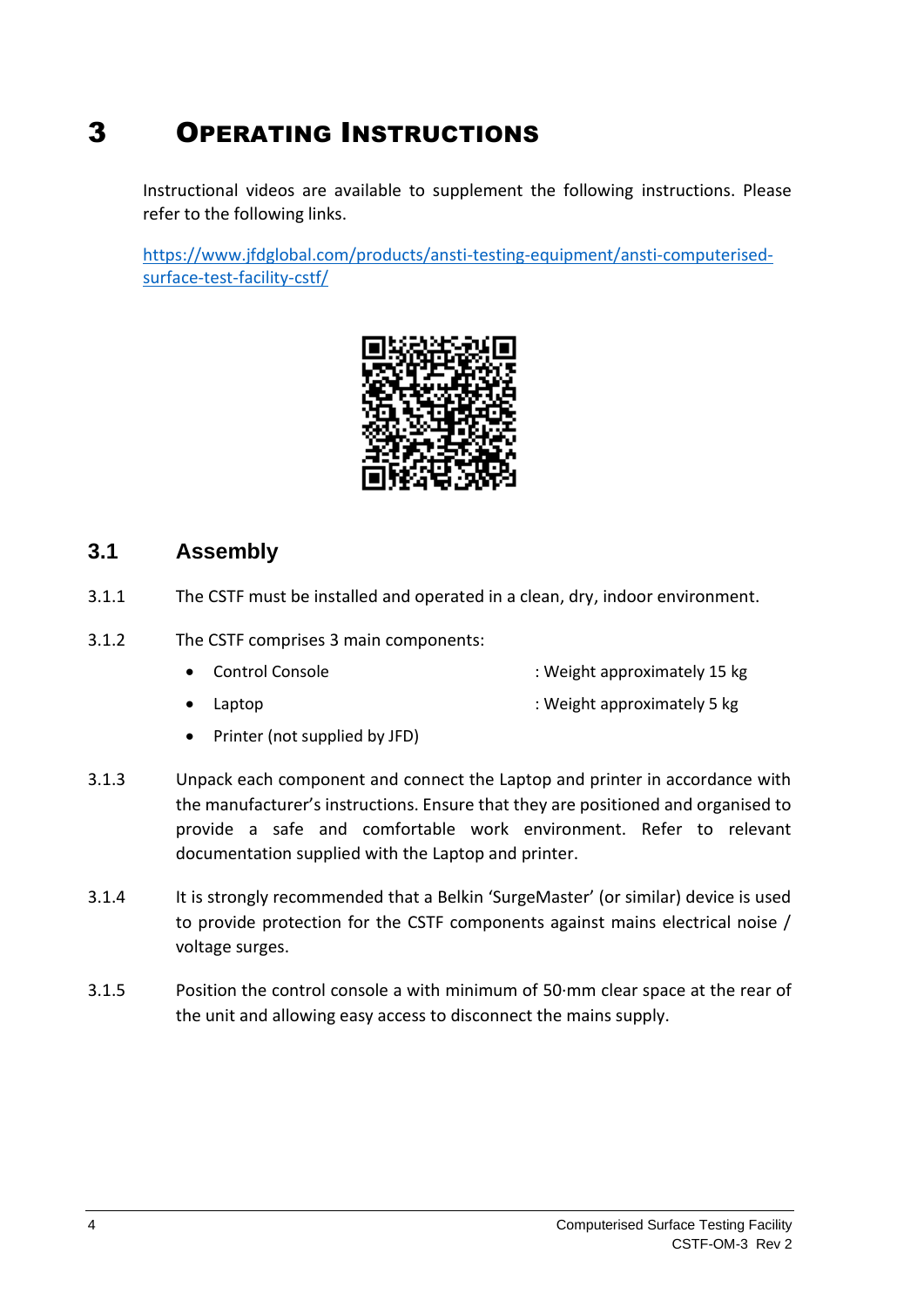# <span id="page-11-0"></span>3 OPERATING INSTRUCTIONS

Instructional videos are available to supplement the following instructions. Please refer to the following links.

[https://www.jfdglobal.com/products/ansti-testing-equipment/ansti-computerised](https://www.jfdglobal.com/products/ansti-testing-equipment/ansti-computerised-surface-test-facility-cstf/)[surface-test-facility-cstf/](https://www.jfdglobal.com/products/ansti-testing-equipment/ansti-computerised-surface-test-facility-cstf/)



## <span id="page-11-1"></span>**3.1 Assembly**

- 3.1.1 The CSTF must be installed and operated in a clean, dry, indoor environment.
- 3.1.2 The CSTF comprises 3 main components:
	- Control Console : Weight approximately 15 kg
	- Laptop : Weight approximately 5 kg
	- Printer (not supplied by JFD)
- 
- 3.1.3 Unpack each component and connect the Laptop and printer in accordance with the manufacturer's instructions. Ensure that they are positioned and organised to provide a safe and comfortable work environment. Refer to relevant documentation supplied with the Laptop and printer.
- <span id="page-11-2"></span>3.1.4 It is strongly recommended that a Belkin 'SurgeMaster' (or similar) device is used to provide protection for the CSTF components against mains electrical noise / voltage surges.
- 3.1.5 Position the control console a with minimum of 50·mm clear space at the rear of the unit and allowing easy access to disconnect the mains supply.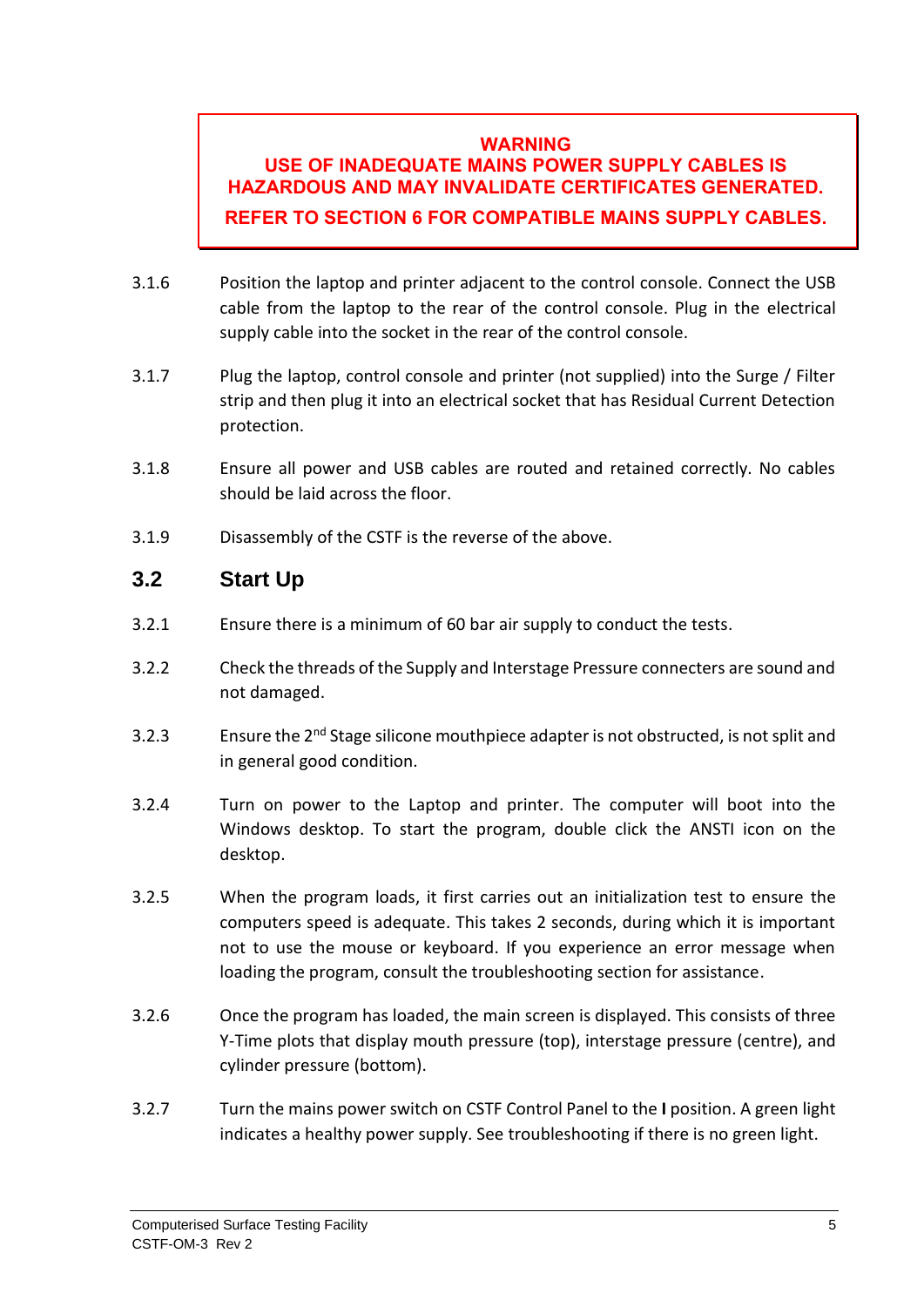#### **WARNING**

### **USE OF INADEQUATE MAINS POWER SUPPLY CABLES IS HAZARDOUS AND MAY INVALIDATE CERTIFICATES GENERATED. REFER TO SECTION [6](#page-25-0) FOR COMPATIBLE MAINS SUPPLY CABLES.**

- 3.1.6 Position the laptop and printer adjacent to the control console. Connect the USB cable from the laptop to the rear of the control console. Plug in the electrical supply cable into the socket in the rear of the control console.
- 3.1.7 Plug the laptop, control console and printer (not supplied) into the Surge / Filter strip and then plug it into an electrical socket that has Residual Current Detection protection.
- 3.1.8 Ensure all power and USB cables are routed and retained correctly. No cables should be laid across the floor.
- 3.1.9 Disassembly of the CSTF is the reverse of the above.

### <span id="page-12-0"></span>**3.2 Start Up**

- 3.2.1 Ensure there is a minimum of 60 bar air supply to conduct the tests.
- 3.2.2 Check the threads of the Supply and Interstage Pressure connecters are sound and not damaged.
- 3.2.3 Ensure the  $2^{nd}$  Stage silicone mouthpiece adapter is not obstructed, is not split and in general good condition.
- 3.2.4 Turn on power to the Laptop and printer. The computer will boot into the Windows desktop. To start the program, double click the ANSTI icon on the desktop.
- 3.2.5 When the program loads, it first carries out an initialization test to ensure the computers speed is adequate. This takes 2 seconds, during which it is important not to use the mouse or keyboard. If you experience an error message when loading the program, consult the troubleshooting section for assistance.
- 3.2.6 Once the program has loaded, the main screen is displayed. This consists of three Y-Time plots that display mouth pressure (top), interstage pressure (centre), and cylinder pressure (bottom).
- 3.2.7 Turn the mains power switch on CSTF Control Panel to the **I** position. A green light indicates a healthy power supply. See troubleshooting if there is no green light.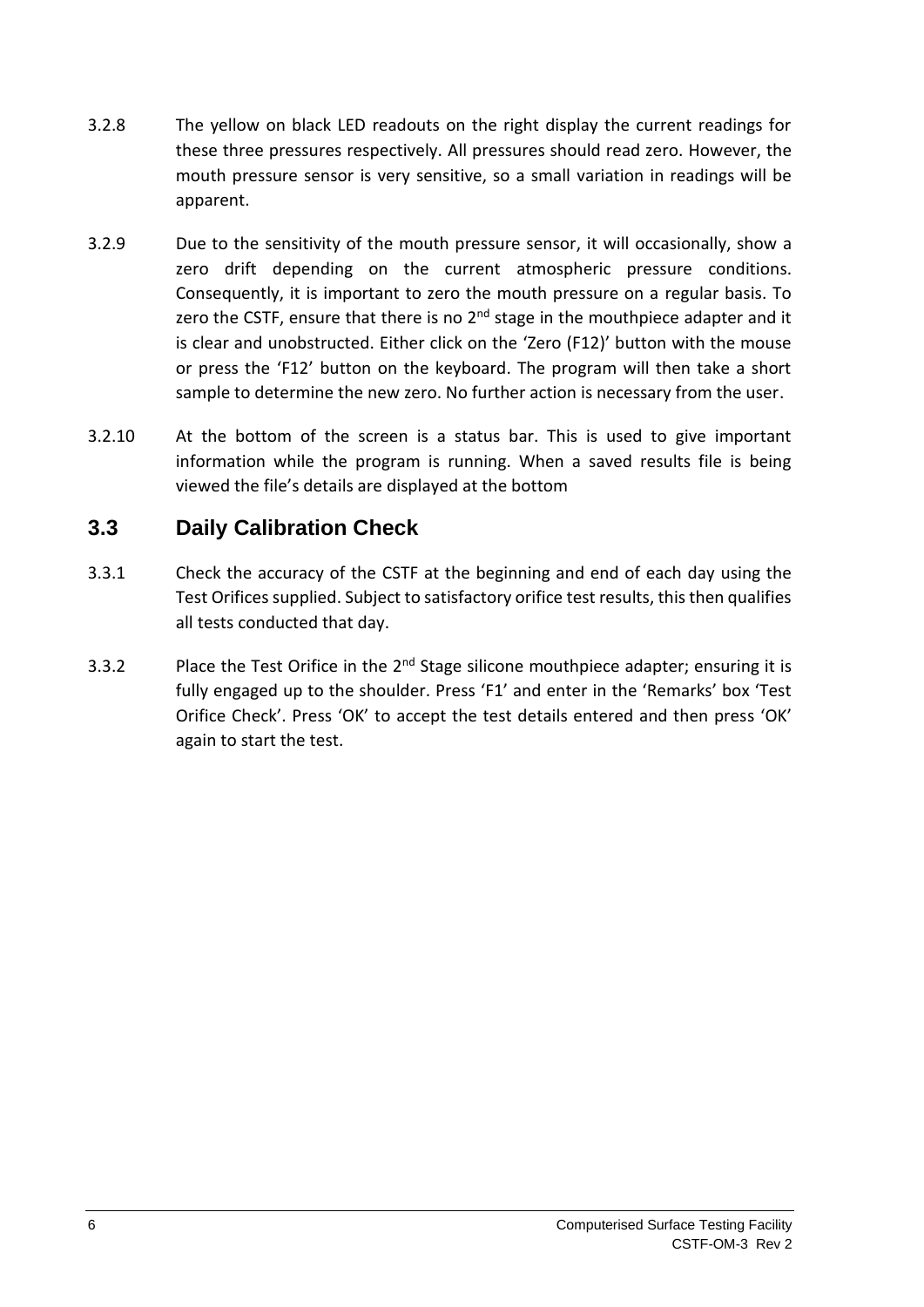- 3.2.8 The yellow on black LED readouts on the right display the current readings for these three pressures respectively. All pressures should read zero. However, the mouth pressure sensor is very sensitive, so a small variation in readings will be apparent.
- 3.2.9 Due to the sensitivity of the mouth pressure sensor, it will occasionally, show a zero drift depending on the current atmospheric pressure conditions. Consequently, it is important to zero the mouth pressure on a regular basis. To zero the CSTF, ensure that there is no  $2<sup>nd</sup>$  stage in the mouthpiece adapter and it is clear and unobstructed. Either click on the 'Zero (F12)' button with the mouse or press the 'F12' button on the keyboard. The program will then take a short sample to determine the new zero. No further action is necessary from the user.
- 3.2.10 At the bottom of the screen is a status bar. This is used to give important information while the program is running. When a saved results file is being viewed the file's details are displayed at the bottom

## <span id="page-13-0"></span>**3.3 Daily Calibration Check**

- 3.3.1 Check the accuracy of the CSTF at the beginning and end of each day using the Test Orifices supplied. Subject to satisfactory orifice test results, this then qualifies all tests conducted that day.
- 3.3.2 Place the Test Orifice in the  $2^{nd}$  Stage silicone mouthpiece adapter; ensuring it is fully engaged up to the shoulder. Press 'F1' and enter in the 'Remarks' box 'Test Orifice Check'. Press 'OK' to accept the test details entered and then press 'OK' again to start the test.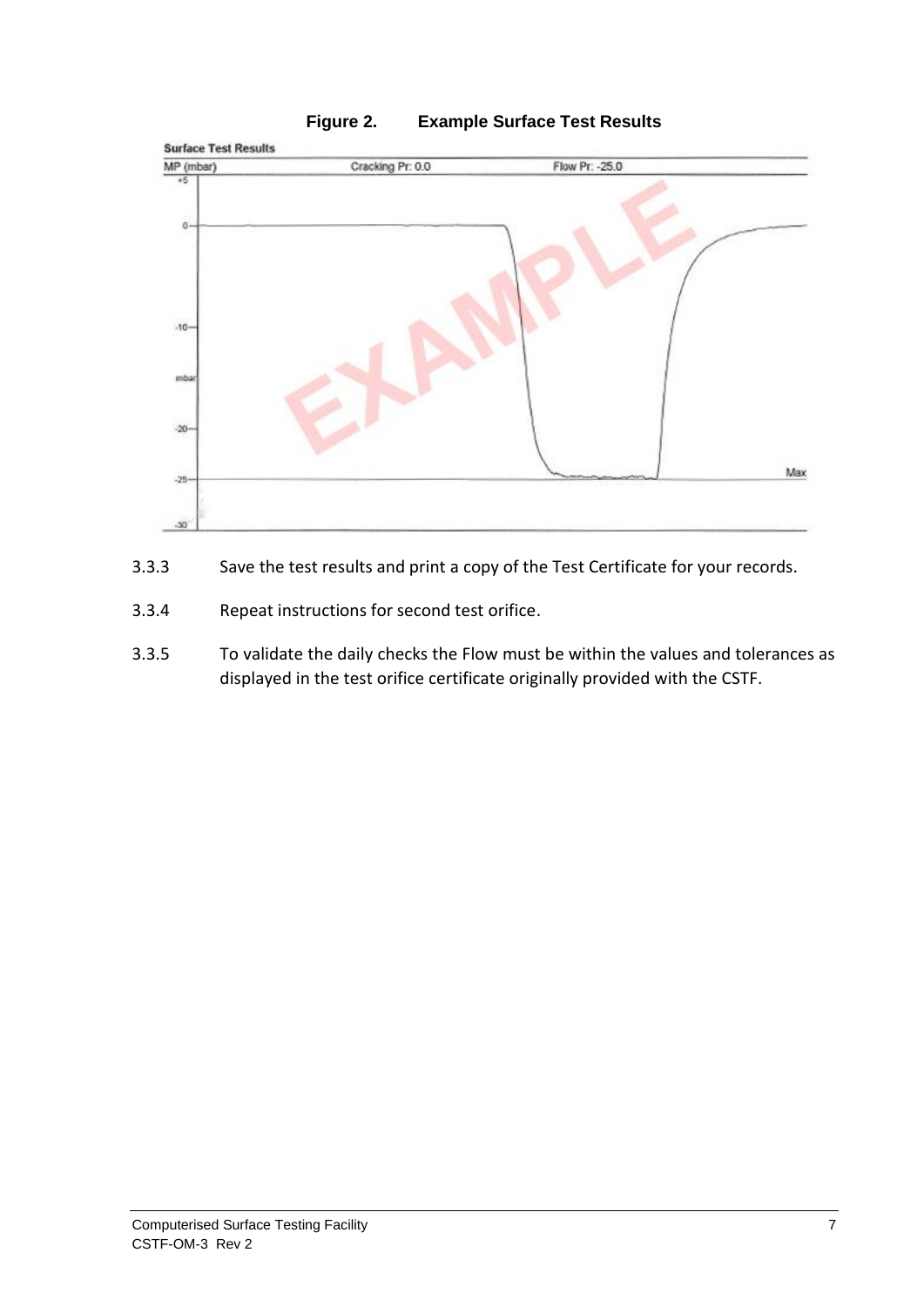

**Figure 2. Example Surface Test Results**

- 3.3.3 Save the test results and print a copy of the Test Certificate for your records.
- 3.3.4 Repeat instructions for second test orifice.
- 3.3.5 To validate the daily checks the Flow must be within the values and tolerances as displayed in the test orifice certificate originally provided with the CSTF.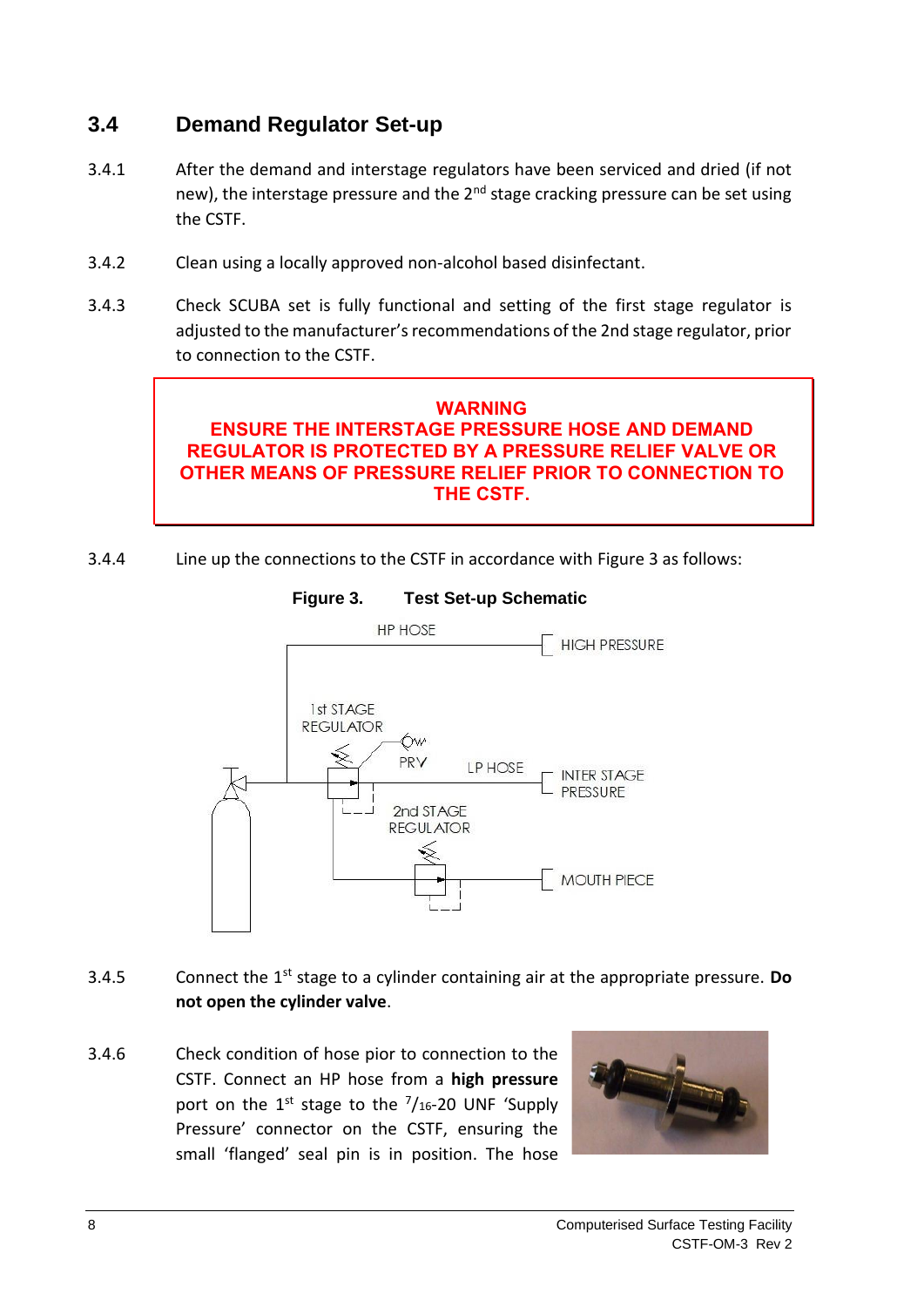### <span id="page-15-0"></span>**3.4 Demand Regulator Set-up**

- 3.4.1 After the demand and interstage regulators have been serviced and dried (if not new), the interstage pressure and the  $2<sup>nd</sup>$  stage cracking pressure can be set using the CSTF.
- 3.4.2 Clean using a locally approved non-alcohol based disinfectant.
- 3.4.3 Check SCUBA set is fully functional and setting of the first stage regulator is adjusted to the manufacturer's recommendations of the 2nd stage regulator, prior to connection to the CSTF.



<span id="page-15-1"></span>3.4.4 Line up the connections to the CSTF in accordance with [Figure 3](#page-15-1) as follows:



**Figure 3. Test Set-up Schematic**

- 3.4.5 Connect the 1st stage to a cylinder containing air at the appropriate pressure. **Do not open the cylinder valve**.
- 3.4.6 Check condition of hose pior to connection to the CSTF. Connect an HP hose from a **high pressure** port on the  $1^{st}$  stage to the  $7/16$ -20 UNF 'Supply Pressure' connector on the CSTF, ensuring the small 'flanged' seal pin is in position. The hose

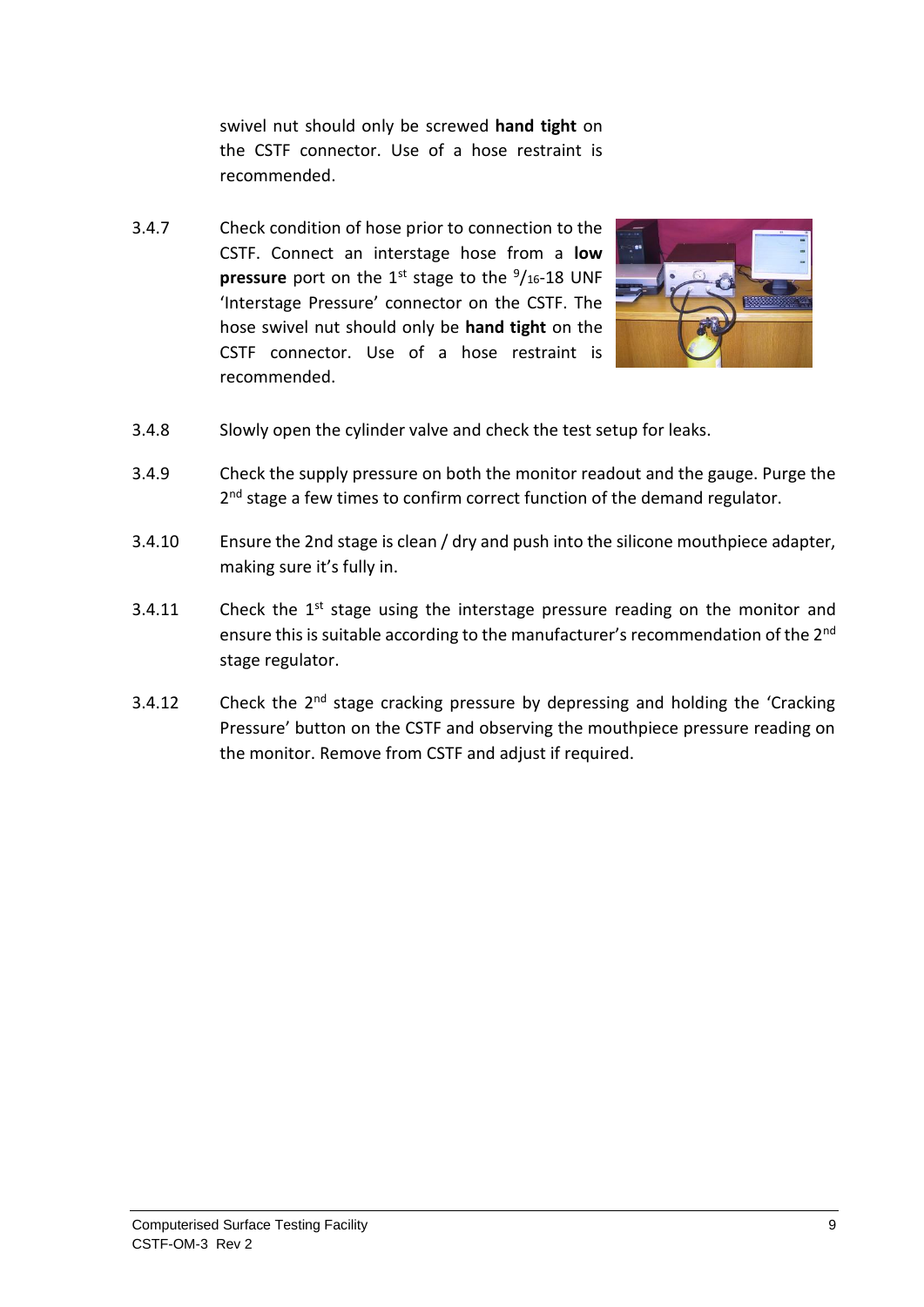swivel nut should only be screwed **hand tight** on the CSTF connector. Use of a hose restraint is recommended.

3.4.7 Check condition of hose prior to connection to the CSTF. Connect an interstage hose from a **low pressure** port on the 1<sup>st</sup> stage to the <sup>9</sup>/16-18 UNF 'Interstage Pressure' connector on the CSTF. The hose swivel nut should only be **hand tight** on the CSTF connector. Use of a hose restraint is recommended.



- 3.4.8 Slowly open the cylinder valve and check the test setup for leaks.
- 3.4.9 Check the supply pressure on both the monitor readout and the gauge. Purge the 2<sup>nd</sup> stage a few times to confirm correct function of the demand regulator.
- 3.4.10 Ensure the 2nd stage is clean / dry and push into the silicone mouthpiece adapter, making sure it's fully in.
- 3.4.11 Check the  $1^{st}$  stage using the interstage pressure reading on the monitor and ensure this is suitable according to the manufacturer's recommendation of the 2<sup>nd</sup> stage regulator.
- 3.4.12 Check the  $2^{nd}$  stage cracking pressure by depressing and holding the 'Cracking' Pressure' button on the CSTF and observing the mouthpiece pressure reading on the monitor. Remove from CSTF and adjust if required.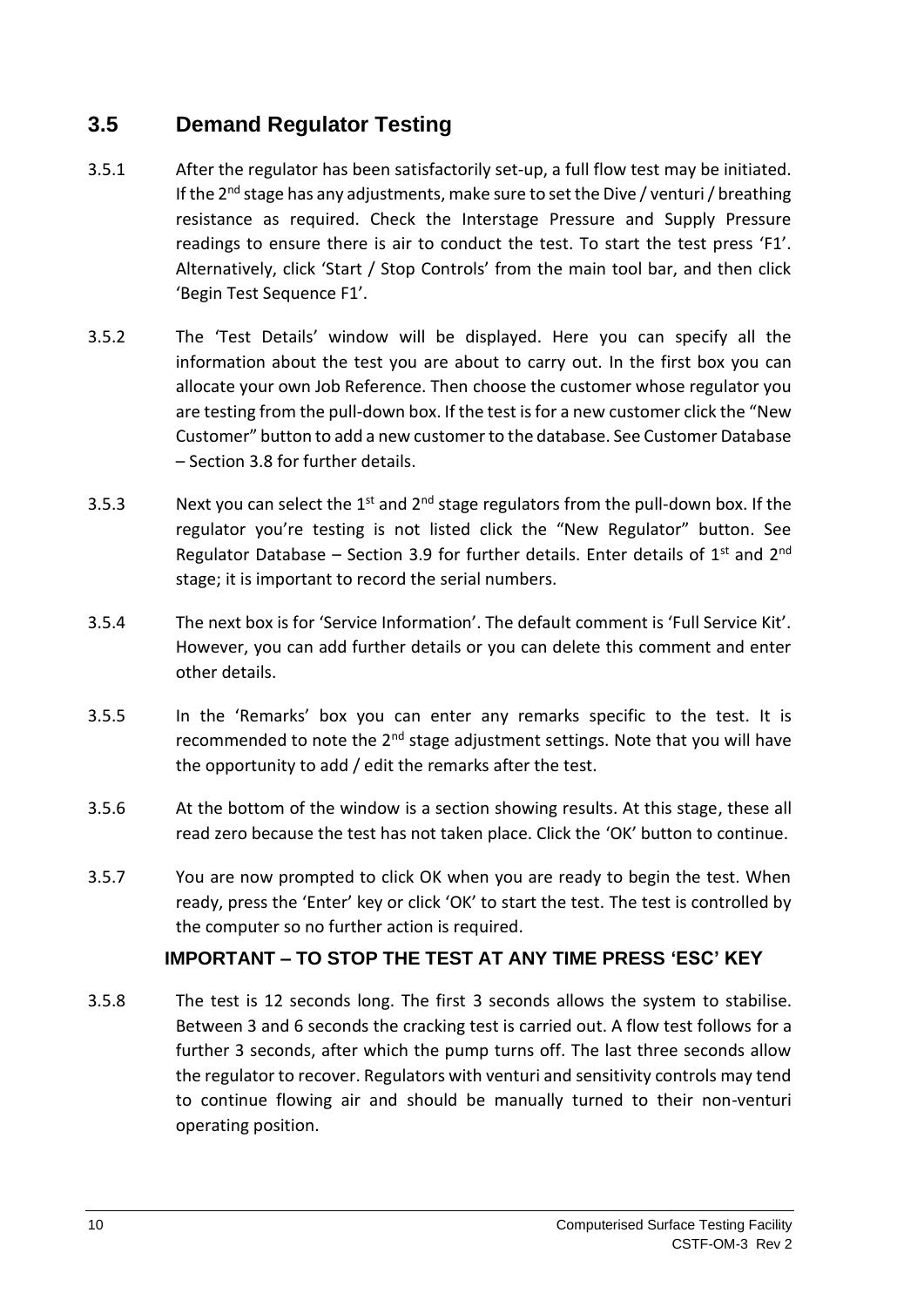## <span id="page-17-0"></span>**3.5 Demand Regulator Testing**

- 3.5.1 After the regulator has been satisfactorily set-up, a full flow test may be initiated. If the  $2^{nd}$  stage has any adjustments, make sure to set the Dive / venturi / breathing resistance as required. Check the Interstage Pressure and Supply Pressure readings to ensure there is air to conduct the test. To start the test press 'F1'. Alternatively, click 'Start / Stop Controls' from the main tool bar, and then click 'Begin Test Sequence F1'.
- 3.5.2 The 'Test Details' window will be displayed. Here you can specify all the information about the test you are about to carry out. In the first box you can allocate your own Job Reference. Then choose the customer whose regulator you are testing from the pull-down box. If the test is for a new customer click the "New Customer" button to add a new customer to the database. See Customer Database – Section 3.8 for further details.
- 3.5.3 Next you can select the  $1<sup>st</sup>$  and  $2<sup>nd</sup>$  stage regulators from the pull-down box. If the regulator you're testing is not listed click the "New Regulator" button. See [Regulator](#page-20-2) Database – Section [3.9](#page-20-2) for further details. Enter details of  $1<sup>st</sup>$  and  $2<sup>nd</sup>$ stage; it is important to record the serial numbers.
- 3.5.4 The next box is for 'Service Information'. The default comment is 'Full Service Kit'. However, you can add further details or you can delete this comment and enter other details.
- 3.5.5 In the 'Remarks' box you can enter any remarks specific to the test. It is recommended to note the  $2^{nd}$  stage adjustment settings. Note that you will have the opportunity to add / edit the remarks after the test.
- 3.5.6 At the bottom of the window is a section showing results. At this stage, these all read zero because the test has not taken place. Click the 'OK' button to continue.
- 3.5.7 You are now prompted to click OK when you are ready to begin the test. When ready, press the 'Enter' key or click 'OK' to start the test. The test is controlled by the computer so no further action is required.

#### **IMPORTANT – TO STOP THE TEST AT ANY TIME PRESS 'ESC' KEY**

3.5.8 The test is 12 seconds long. The first 3 seconds allows the system to stabilise. Between 3 and 6 seconds the cracking test is carried out. A flow test follows for a further 3 seconds, after which the pump turns off. The last three seconds allow the regulator to recover. Regulators with venturi and sensitivity controls may tend to continue flowing air and should be manually turned to their non-venturi operating position.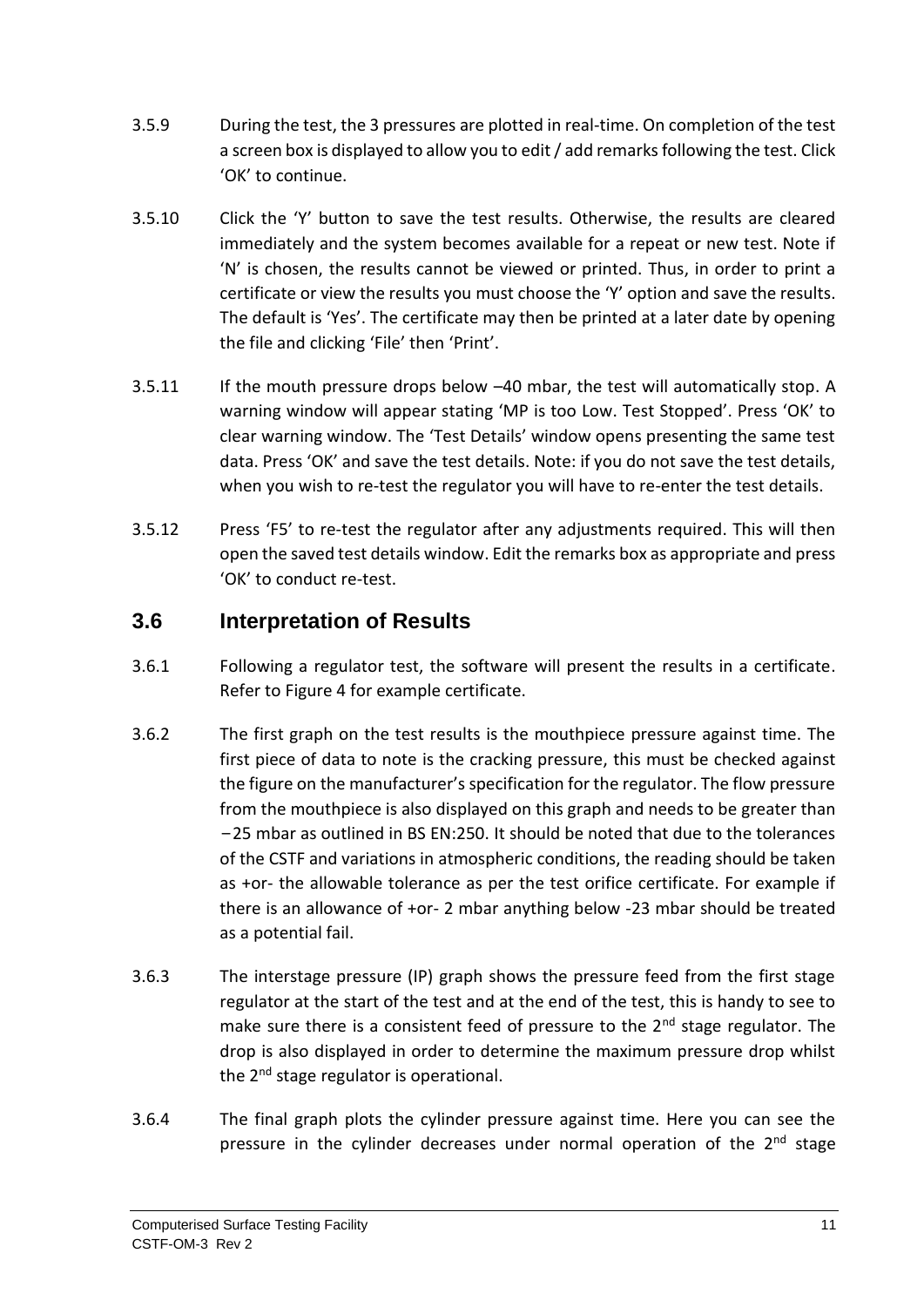- 3.5.9 During the test, the 3 pressures are plotted in real-time. On completion of the test a screen box is displayed to allow you to edit / add remarks following the test. Click 'OK' to continue.
- 3.5.10 Click the 'Y' button to save the test results. Otherwise, the results are cleared immediately and the system becomes available for a repeat or new test. Note if 'N' is chosen, the results cannot be viewed or printed. Thus, in order to print a certificate or view the results you must choose the 'Y' option and save the results. The default is 'Yes'. The certificate may then be printed at a later date by opening the file and clicking 'File' then 'Print'.
- 3.5.11 If the mouth pressure drops below –40 mbar, the test will automatically stop. A warning window will appear stating 'MP is too Low. Test Stopped'. Press 'OK' to clear warning window. The 'Test Details' window opens presenting the same test data. Press 'OK' and save the test details. Note: if you do not save the test details, when you wish to re-test the regulator you will have to re-enter the test details.
- 3.5.12 Press 'F5' to re-test the regulator after any adjustments required. This will then open the saved test details window. Edit the remarks box as appropriate and press 'OK' to conduct re-test.

### <span id="page-18-0"></span>**3.6 Interpretation of Results**

- 3.6.1 Following a regulator test, the software will present the results in a certificate. Refer to [Figure 4](#page-19-0) for example certificate.
- 3.6.2 The first graph on the test results is the mouthpiece pressure against time. The first piece of data to note is the cracking pressure, this must be checked against the figure on the manufacturer's specification for the regulator. The flow pressure from the mouthpiece is also displayed on this graph and needs to be greater than −25 mbar as outlined in BS EN:250. It should be noted that due to the tolerances of the CSTF and variations in atmospheric conditions, the reading should be taken as +or- the allowable tolerance as per the test orifice certificate. For example if there is an allowance of +or- 2 mbar anything below -23 mbar should be treated as a potential fail.
- 3.6.3 The interstage pressure (IP) graph shows the pressure feed from the first stage regulator at the start of the test and at the end of the test, this is handy to see to make sure there is a consistent feed of pressure to the  $2<sup>nd</sup>$  stage regulator. The drop is also displayed in order to determine the maximum pressure drop whilst the  $2^{nd}$  stage regulator is operational.
- 3.6.4 The final graph plots the cylinder pressure against time. Here you can see the pressure in the cylinder decreases under normal operation of the 2<sup>nd</sup> stage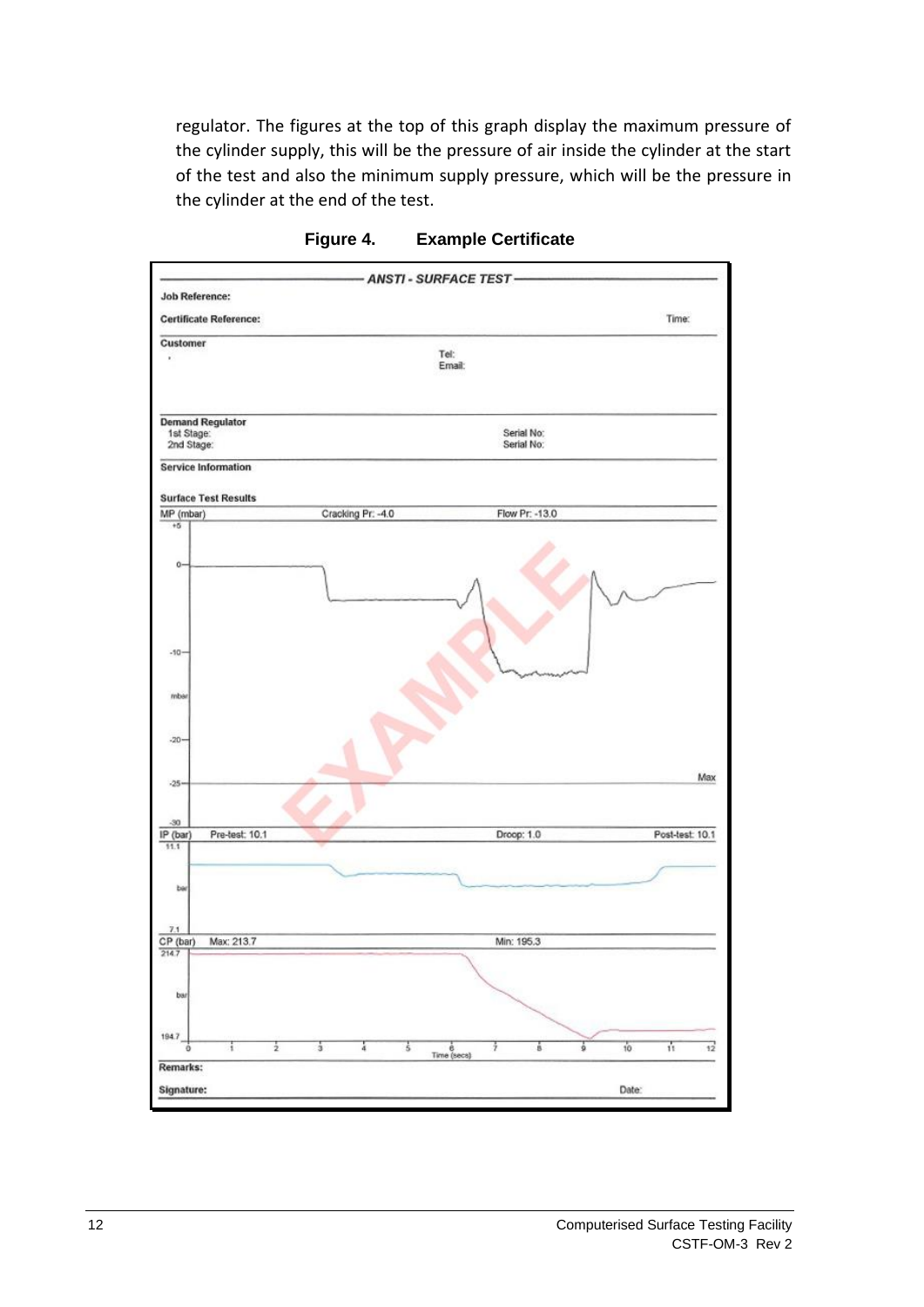regulator. The figures at the top of this graph display the maximum pressure of the cylinder supply, this will be the pressure of air inside the cylinder at the start of the test and also the minimum supply pressure, which will be the pressure in the cylinder at the end of the test.

<span id="page-19-0"></span>

**Figure 4. Example Certificate**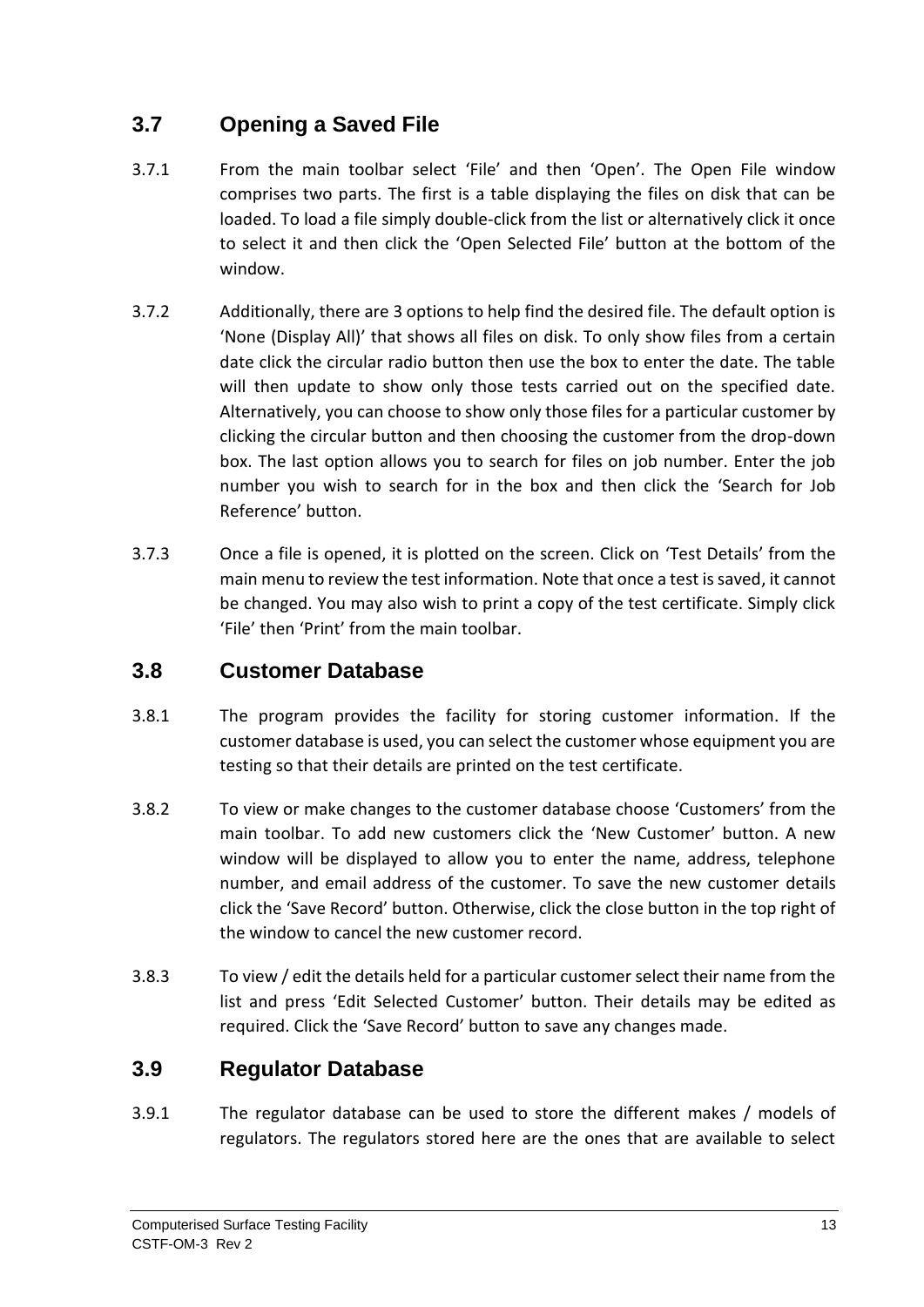## <span id="page-20-0"></span>**3.7 Opening a Saved File**

- 3.7.1 From the main toolbar select 'File' and then 'Open'. The Open File window comprises two parts. The first is a table displaying the files on disk that can be loaded. To load a file simply double-click from the list or alternatively click it once to select it and then click the 'Open Selected File' button at the bottom of the window.
- 3.7.2 Additionally, there are 3 options to help find the desired file. The default option is 'None (Display All)' that shows all files on disk. To only show files from a certain date click the circular radio button then use the box to enter the date. The table will then update to show only those tests carried out on the specified date. Alternatively, you can choose to show only those files for a particular customer by clicking the circular button and then choosing the customer from the drop-down box. The last option allows you to search for files on job number. Enter the job number you wish to search for in the box and then click the 'Search for Job Reference' button.
- 3.7.3 Once a file is opened, it is plotted on the screen. Click on 'Test Details' from the main menu to review the test information. Note that once a test is saved, it cannot be changed. You may also wish to print a copy of the test certificate. Simply click 'File' then 'Print' from the main toolbar.

### <span id="page-20-1"></span>**3.8 Customer Database**

- 3.8.1 The program provides the facility for storing customer information. If the customer database is used, you can select the customer whose equipment you are testing so that their details are printed on the test certificate.
- 3.8.2 To view or make changes to the customer database choose 'Customers' from the main toolbar. To add new customers click the 'New Customer' button. A new window will be displayed to allow you to enter the name, address, telephone number, and email address of the customer. To save the new customer details click the 'Save Record' button. Otherwise, click the close button in the top right of the window to cancel the new customer record.
- 3.8.3 To view / edit the details held for a particular customer select their name from the list and press 'Edit Selected Customer' button. Their details may be edited as required. Click the 'Save Record' button to save any changes made.

### <span id="page-20-2"></span>**3.9 Regulator Database**

3.9.1 The regulator database can be used to store the different makes / models of regulators. The regulators stored here are the ones that are available to select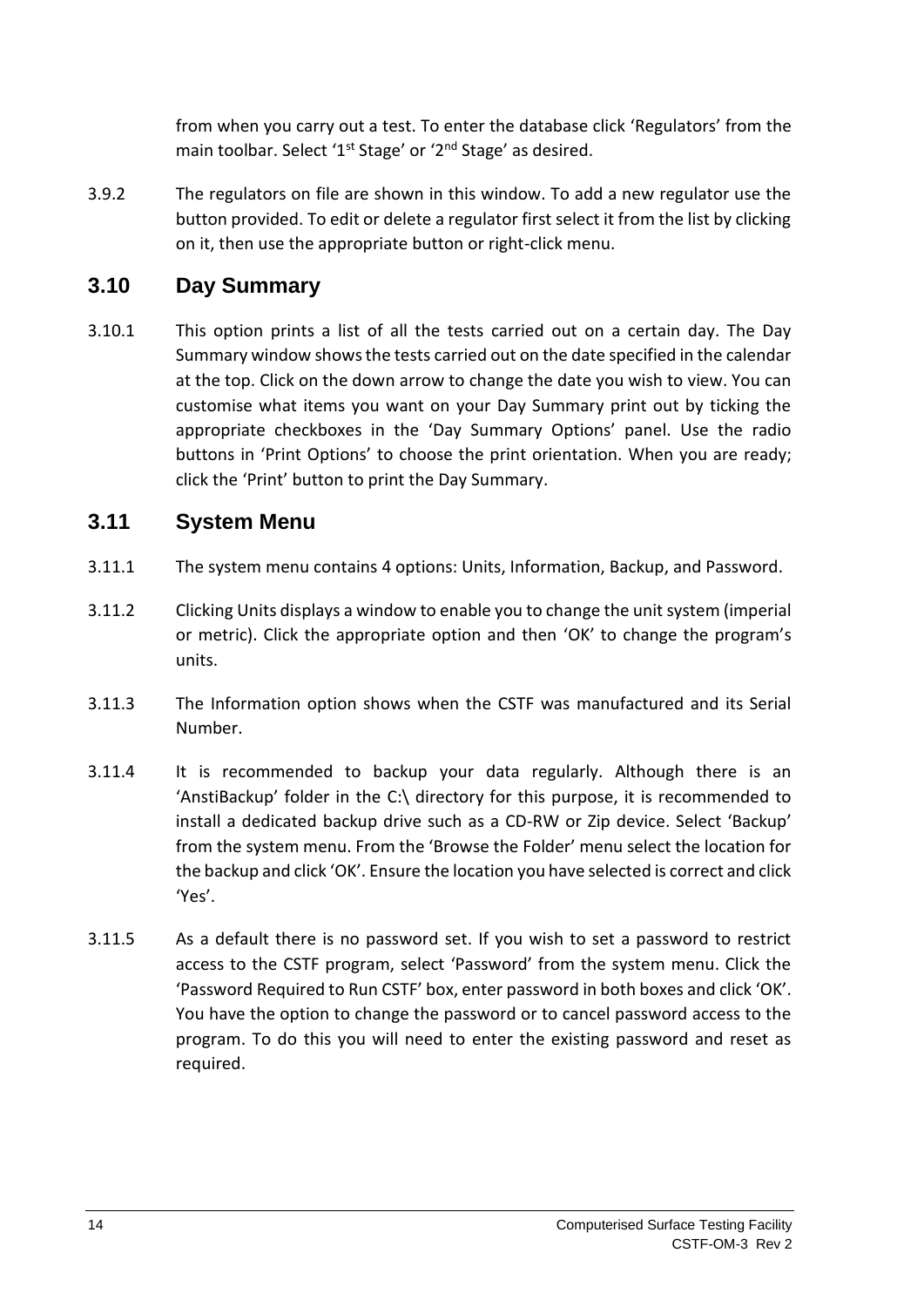from when you carry out a test. To enter the database click 'Regulators' from the main toolbar. Select '1<sup>st</sup> Stage' or '2<sup>nd</sup> Stage' as desired.

3.9.2 The regulators on file are shown in this window. To add a new regulator use the button provided. To edit or delete a regulator first select it from the list by clicking on it, then use the appropriate button or right-click menu.

## <span id="page-21-0"></span>**3.10 Day Summary**

3.10.1 This option prints a list of all the tests carried out on a certain day. The Day Summary window shows the tests carried out on the date specified in the calendar at the top. Click on the down arrow to change the date you wish to view. You can customise what items you want on your Day Summary print out by ticking the appropriate checkboxes in the 'Day Summary Options' panel. Use the radio buttons in 'Print Options' to choose the print orientation. When you are ready; click the 'Print' button to print the Day Summary.

#### <span id="page-21-1"></span>**3.11 System Menu**

- 3.11.1 The system menu contains 4 options: Units, Information, Backup, and Password.
- 3.11.2 Clicking Units displays a window to enable you to change the unit system (imperial or metric). Click the appropriate option and then 'OK' to change the program's units.
- 3.11.3 The Information option shows when the CSTF was manufactured and its Serial Number.
- 3.11.4 It is recommended to backup your data regularly. Although there is an 'AnstiBackup' folder in the C:\ directory for this purpose, it is recommended to install a dedicated backup drive such as a CD-RW or Zip device. Select 'Backup' from the system menu. From the 'Browse the Folder' menu select the location for the backup and click 'OK'. Ensure the location you have selected is correct and click 'Yes'.
- 3.11.5 As a default there is no password set. If you wish to set a password to restrict access to the CSTF program, select 'Password' from the system menu. Click the 'Password Required to Run CSTF' box, enter password in both boxes and click 'OK'. You have the option to change the password or to cancel password access to the program. To do this you will need to enter the existing password and reset as required.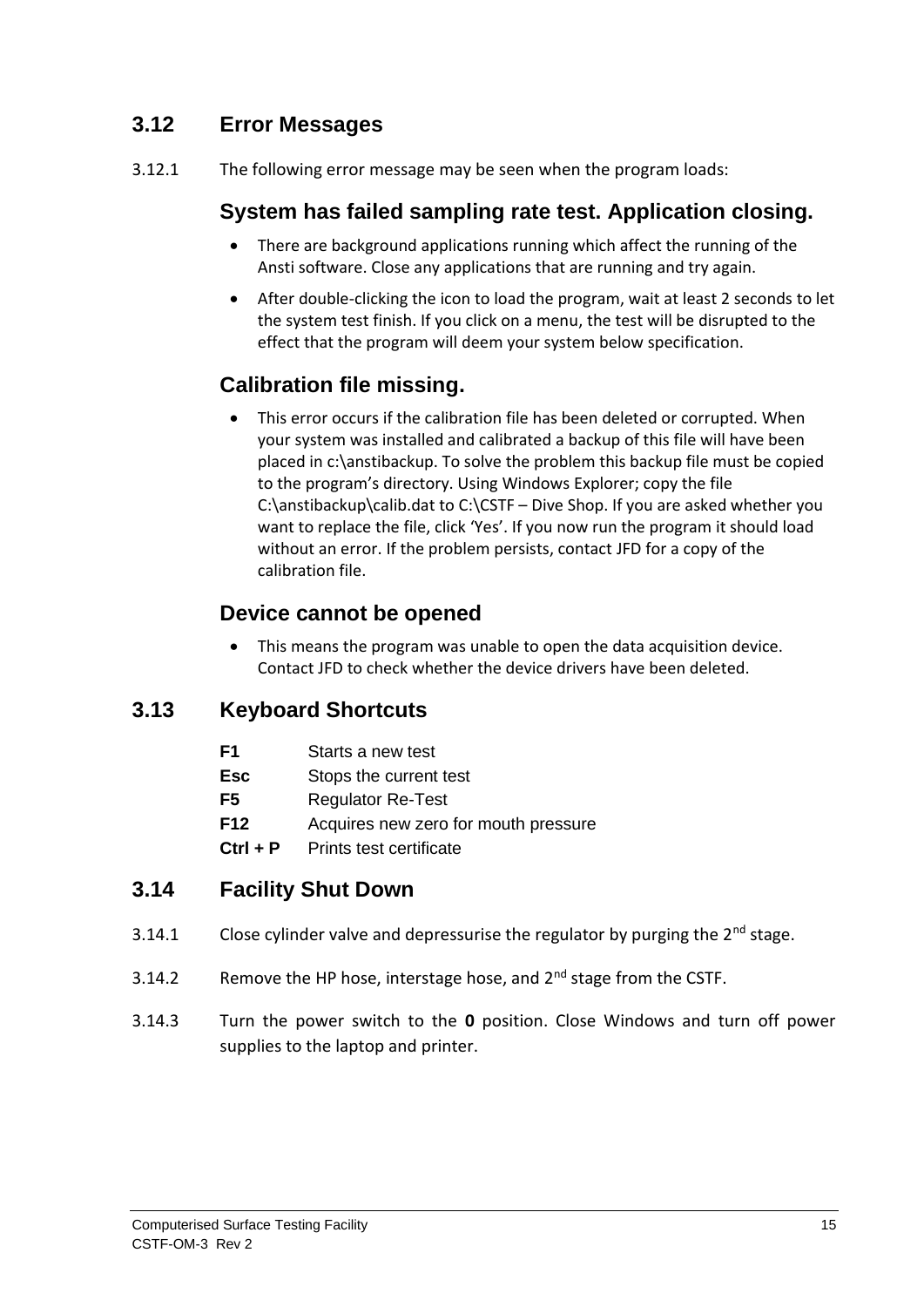## <span id="page-22-0"></span>**3.12 Error Messages**

3.12.1 The following error message may be seen when the program loads:

## **System has failed sampling rate test. Application closing.**

- There are background applications running which affect the running of the Ansti software. Close any applications that are running and try again.
- After double-clicking the icon to load the program, wait at least 2 seconds to let the system test finish. If you click on a menu, the test will be disrupted to the effect that the program will deem your system below specification.

## **Calibration file missing.**

• This error occurs if the calibration file has been deleted or corrupted. When your system was installed and calibrated a backup of this file will have been placed in c:\anstibackup. To solve the problem this backup file must be copied to the program's directory. Using Windows Explorer; copy the file C:\anstibackup\calib.dat to C:\CSTF – Dive Shop. If you are asked whether you want to replace the file, click 'Yes'. If you now run the program it should load without an error. If the problem persists, contact JFD for a copy of the calibration file.

## **Device cannot be opened**

This means the program was unable to open the data acquisition device. Contact JFD to check whether the device drivers have been deleted.

## <span id="page-22-1"></span>**3.13 Keyboard Shortcuts**

- **F1** Starts a new test
- **Esc** Stops the current test
- **F5** Regulator Re-Test
- **F12** Acquires new zero for mouth pressure
- Ctrl + P Prints test certificate

### <span id="page-22-2"></span>**3.14 Facility Shut Down**

- 3.14.1 Close cylinder valve and depressurise the regulator by purging the  $2^{nd}$  stage.
- 3.14.2 Remove the HP hose, interstage hose, and  $2<sup>nd</sup>$  stage from the CSTF.
- 3.14.3 Turn the power switch to the **0** position. Close Windows and turn off power supplies to the laptop and printer.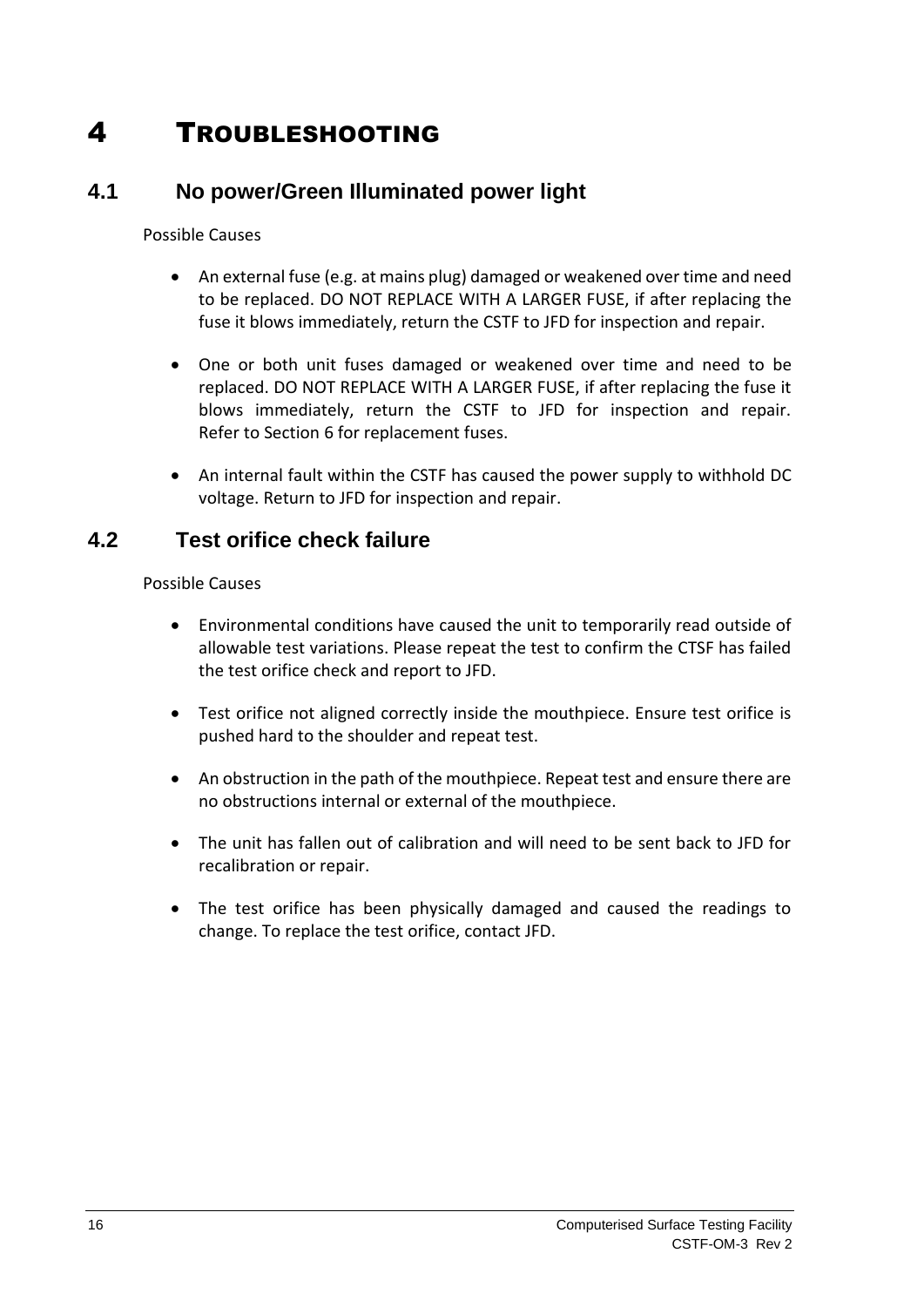# <span id="page-23-0"></span>4 TROUBLESHOOTING

## <span id="page-23-1"></span>**4.1 No power/Green Illuminated power light**

Possible Causes

- An external fuse (e.g. at mains plug) damaged or weakened over time and need to be replaced. DO NOT REPLACE WITH A LARGER FUSE, if after replacing the fuse it blows immediately, return the CSTF to JFD for inspection and repair.
- One or both unit fuses damaged or weakened over time and need to be replaced. DO NOT REPLACE WITH A LARGER FUSE, if after replacing the fuse it blows immediately, return the CSTF to JFD for inspection and repair. Refer to Section [6](#page-25-0) for replacement fuses.
- An internal fault within the CSTF has caused the power supply to withhold DC voltage. Return to JFD for inspection and repair.

### <span id="page-23-2"></span>**4.2 Test orifice check failure**

Possible Causes

- Environmental conditions have caused the unit to temporarily read outside of allowable test variations. Please repeat the test to confirm the CTSF has failed the test orifice check and report to JFD.
- Test orifice not aligned correctly inside the mouthpiece. Ensure test orifice is pushed hard to the shoulder and repeat test.
- An obstruction in the path of the mouthpiece. Repeat test and ensure there are no obstructions internal or external of the mouthpiece.
- The unit has fallen out of calibration and will need to be sent back to JFD for recalibration or repair.
- The test orifice has been physically damaged and caused the readings to change. To replace the test orifice, contact JFD.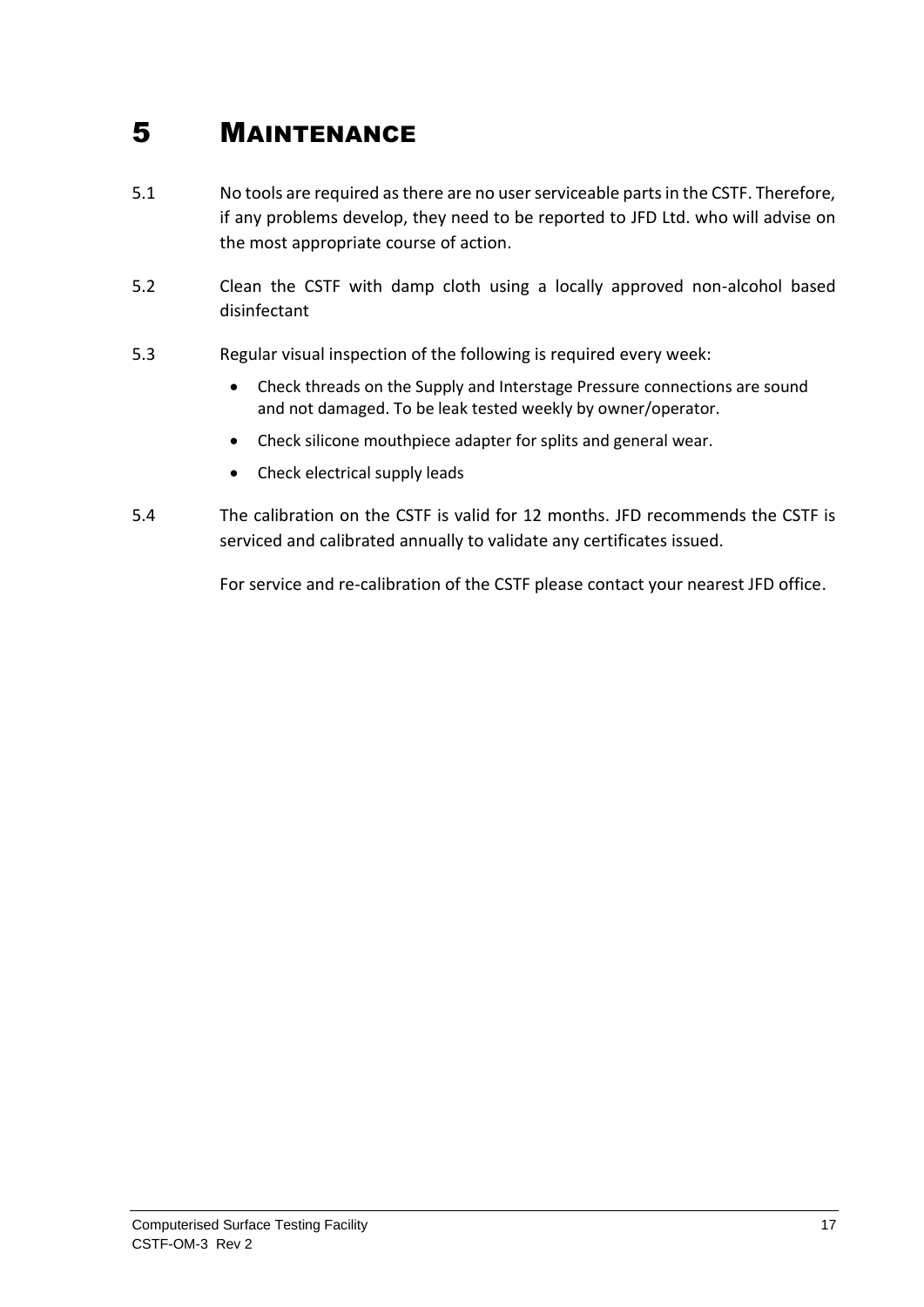# <span id="page-24-0"></span>5 MAINTENANCE

- 5.1 No tools are required as there are no user serviceable parts in the CSTF. Therefore, if any problems develop, they need to be reported to JFD Ltd. who will advise on the most appropriate course of action.
- 5.2 Clean the CSTF with damp cloth using a locally approved non-alcohol based disinfectant
- 5.3 Regular visual inspection of the following is required every week:
	- Check threads on the Supply and Interstage Pressure connections are sound and not damaged. To be leak tested weekly by owner/operator.
	- Check silicone mouthpiece adapter for splits and general wear.
	- Check electrical supply leads
- <span id="page-24-1"></span>5.4 The calibration on the CSTF is valid for 12 months. JFD recommends the CSTF is serviced and calibrated annually to validate any certificates issued.

For service and re-calibration of the CSTF please contact your nearest JFD office.